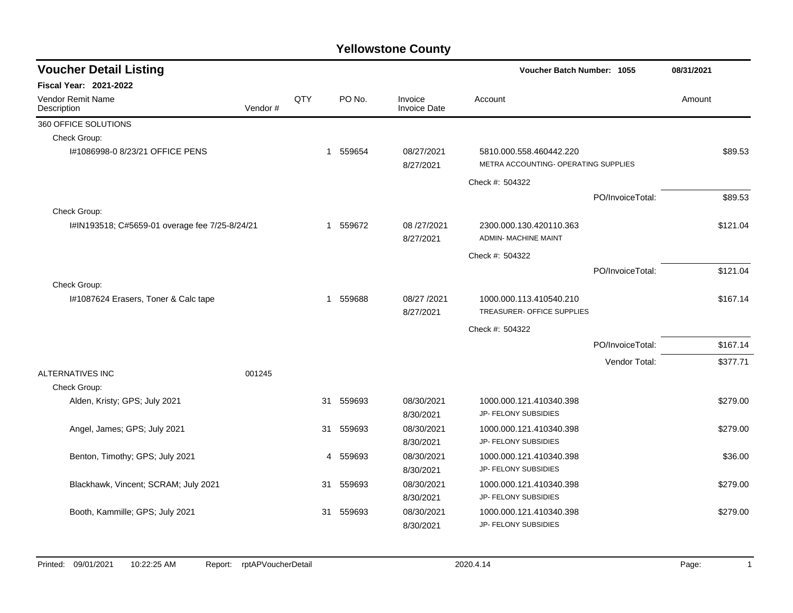| <b>Voucher Detail Listing</b>                  |         |     |             |                                |                                                                 | <b>Voucher Batch Number: 1055</b> |          |  |
|------------------------------------------------|---------|-----|-------------|--------------------------------|-----------------------------------------------------------------|-----------------------------------|----------|--|
| <b>Fiscal Year: 2021-2022</b>                  |         |     |             |                                |                                                                 |                                   |          |  |
| Vendor Remit Name<br>Description               | Vendor# | QTY | PO No.      | Invoice<br><b>Invoice Date</b> | Account                                                         |                                   | Amount   |  |
| 360 OFFICE SOLUTIONS                           |         |     |             |                                |                                                                 |                                   |          |  |
| Check Group:                                   |         |     |             |                                |                                                                 |                                   |          |  |
| I#1086998-0 8/23/21 OFFICE PENS                |         |     | 559654<br>1 | 08/27/2021<br>8/27/2021        | 5810.000.558.460442.220<br>METRA ACCOUNTING- OPERATING SUPPLIES |                                   | \$89.53  |  |
|                                                |         |     |             |                                | Check #: 504322                                                 |                                   |          |  |
|                                                |         |     |             |                                |                                                                 | PO/InvoiceTotal:                  | \$89.53  |  |
| Check Group:                                   |         |     |             |                                |                                                                 |                                   |          |  |
| I#IN193518; C#5659-01 overage fee 7/25-8/24/21 |         |     | 559672<br>1 | 08/27/2021<br>8/27/2021        | 2300.000.130.420110.363<br><b>ADMIN- MACHINE MAINT</b>          |                                   | \$121.04 |  |
|                                                |         |     |             |                                | Check #: 504322                                                 |                                   |          |  |
|                                                |         |     |             |                                |                                                                 | PO/InvoiceTotal:                  | \$121.04 |  |
| Check Group:                                   |         |     |             |                                |                                                                 |                                   |          |  |
| I#1087624 Erasers, Toner & Calc tape           |         |     | 559688<br>1 | 08/27 /2021                    | 1000.000.113.410540.210                                         |                                   | \$167.14 |  |
|                                                |         |     |             | 8/27/2021                      | TREASURER- OFFICE SUPPLIES                                      |                                   |          |  |
|                                                |         |     |             |                                | Check #: 504322                                                 |                                   |          |  |
|                                                |         |     |             |                                |                                                                 | PO/InvoiceTotal:                  | \$167.14 |  |
|                                                |         |     |             |                                |                                                                 | Vendor Total:                     | \$377.71 |  |
| ALTERNATIVES INC                               | 001245  |     |             |                                |                                                                 |                                   |          |  |
| Check Group:                                   |         |     |             |                                |                                                                 |                                   |          |  |
| Alden, Kristy; GPS; July 2021                  |         | 31  | 559693      | 08/30/2021                     | 1000.000.121.410340.398                                         |                                   | \$279.00 |  |
|                                                |         |     |             | 8/30/2021                      | JP- FELONY SUBSIDIES                                            |                                   |          |  |
| Angel, James; GPS; July 2021                   |         | 31  | 559693      | 08/30/2021                     | 1000.000.121.410340.398                                         |                                   | \$279.00 |  |
|                                                |         |     |             | 8/30/2021                      | JP- FELONY SUBSIDIES                                            |                                   |          |  |
| Benton, Timothy; GPS; July 2021                |         |     | 559693<br>4 | 08/30/2021                     | 1000.000.121.410340.398                                         |                                   | \$36.00  |  |
|                                                |         |     |             | 8/30/2021                      | JP- FELONY SUBSIDIES                                            |                                   |          |  |
| Blackhawk, Vincent; SCRAM; July 2021           |         | 31  | 559693      | 08/30/2021                     | 1000.000.121.410340.398                                         |                                   | \$279.00 |  |
|                                                |         |     |             | 8/30/2021                      | JP- FELONY SUBSIDIES                                            |                                   |          |  |
| Booth, Kammille; GPS; July 2021                |         | 31  | 559693      | 08/30/2021                     | 1000.000.121.410340.398<br>JP- FELONY SUBSIDIES                 |                                   | \$279.00 |  |
|                                                |         |     |             | 8/30/2021                      |                                                                 |                                   |          |  |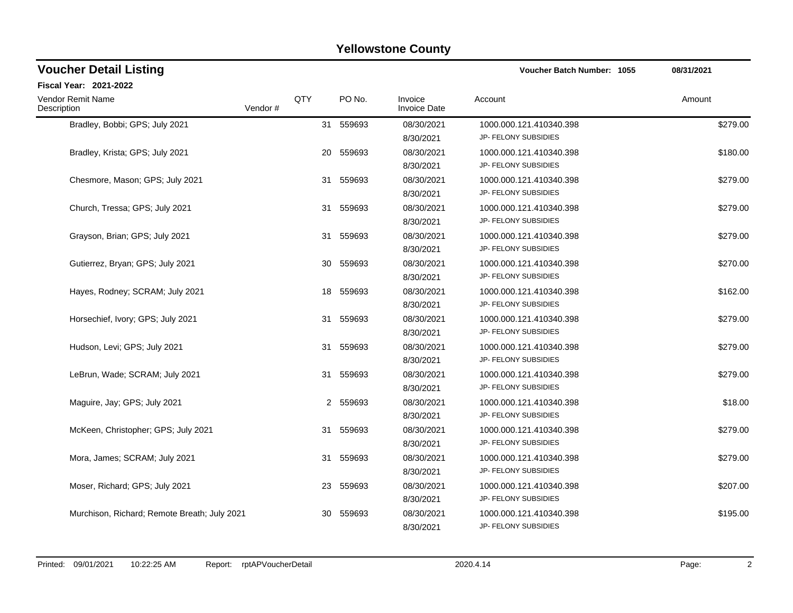| <b>Voucher Detail Listing</b>                |         |     |           |                                | Voucher Batch Number: 1055                      | 08/31/2021 |
|----------------------------------------------|---------|-----|-----------|--------------------------------|-------------------------------------------------|------------|
| Fiscal Year: 2021-2022                       |         |     |           |                                |                                                 |            |
| <b>Vendor Remit Name</b><br>Description      | Vendor# | QTY | PO No.    | Invoice<br><b>Invoice Date</b> | Account                                         | Amount     |
| Bradley, Bobbi; GPS; July 2021               |         |     | 31 559693 | 08/30/2021<br>8/30/2021        | 1000.000.121.410340.398<br>JP- FELONY SUBSIDIES | \$279.00   |
| Bradley, Krista; GPS; July 2021              |         | 20  | 559693    | 08/30/2021<br>8/30/2021        | 1000.000.121.410340.398<br>JP- FELONY SUBSIDIES | \$180.00   |
| Chesmore, Mason; GPS; July 2021              |         | 31  | 559693    | 08/30/2021<br>8/30/2021        | 1000.000.121.410340.398<br>JP- FELONY SUBSIDIES | \$279.00   |
| Church, Tressa; GPS; July 2021               |         | 31  | 559693    | 08/30/2021<br>8/30/2021        | 1000.000.121.410340.398<br>JP- FELONY SUBSIDIES | \$279.00   |
| Grayson, Brian; GPS; July 2021               |         | 31  | 559693    | 08/30/2021<br>8/30/2021        | 1000.000.121.410340.398<br>JP- FELONY SUBSIDIES | \$279.00   |
| Gutierrez, Bryan; GPS; July 2021             |         | 30  | 559693    | 08/30/2021<br>8/30/2021        | 1000.000.121.410340.398<br>JP- FELONY SUBSIDIES | \$270.00   |
| Hayes, Rodney; SCRAM; July 2021              |         | 18  | 559693    | 08/30/2021<br>8/30/2021        | 1000.000.121.410340.398<br>JP- FELONY SUBSIDIES | \$162.00   |
| Horsechief, Ivory; GPS; July 2021            |         | 31  | 559693    | 08/30/2021<br>8/30/2021        | 1000.000.121.410340.398<br>JP- FELONY SUBSIDIES | \$279.00   |
| Hudson, Levi; GPS; July 2021                 |         | 31  | 559693    | 08/30/2021<br>8/30/2021        | 1000.000.121.410340.398<br>JP- FELONY SUBSIDIES | \$279.00   |
| LeBrun, Wade; SCRAM; July 2021               |         | 31  | 559693    | 08/30/2021<br>8/30/2021        | 1000.000.121.410340.398<br>JP- FELONY SUBSIDIES | \$279.00   |
| Maguire, Jay; GPS; July 2021                 |         |     | 2 559693  | 08/30/2021<br>8/30/2021        | 1000.000.121.410340.398<br>JP- FELONY SUBSIDIES | \$18.00    |
| McKeen, Christopher; GPS; July 2021          |         | 31  | 559693    | 08/30/2021<br>8/30/2021        | 1000.000.121.410340.398<br>JP- FELONY SUBSIDIES | \$279.00   |
| Mora, James; SCRAM; July 2021                |         | 31  | 559693    | 08/30/2021<br>8/30/2021        | 1000.000.121.410340.398<br>JP- FELONY SUBSIDIES | \$279.00   |
| Moser, Richard; GPS; July 2021               |         | 23. | 559693    | 08/30/2021<br>8/30/2021        | 1000.000.121.410340.398<br>JP- FELONY SUBSIDIES | \$207.00   |
| Murchison, Richard; Remote Breath; July 2021 |         | 30  | 559693    | 08/30/2021<br>8/30/2021        | 1000.000.121.410340.398<br>JP- FELONY SUBSIDIES | \$195.00   |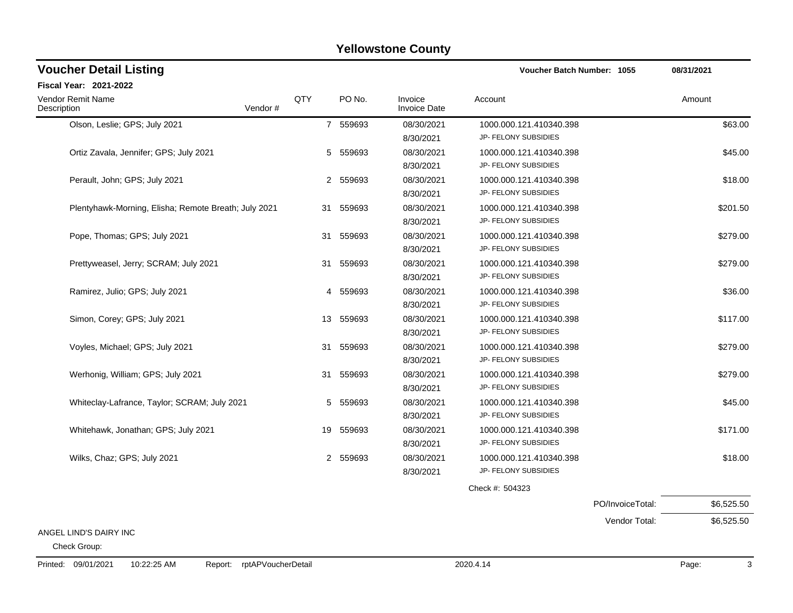| <b>Voucher Detail Listing</b>                        |         |     |           |                                | Voucher Batch Number: 1055                      |                  | 08/31/2021 |
|------------------------------------------------------|---------|-----|-----------|--------------------------------|-------------------------------------------------|------------------|------------|
| <b>Fiscal Year: 2021-2022</b>                        |         |     |           |                                |                                                 |                  |            |
| Vendor Remit Name<br>Description                     | Vendor# | QTY | PO No.    | Invoice<br><b>Invoice Date</b> | Account                                         |                  | Amount     |
| Olson, Leslie; GPS; July 2021                        |         |     | 7 559693  | 08/30/2021<br>8/30/2021        | 1000.000.121.410340.398<br>JP- FELONY SUBSIDIES |                  | \$63.00    |
| Ortiz Zavala, Jennifer; GPS; July 2021               |         | 5   | 559693    | 08/30/2021<br>8/30/2021        | 1000.000.121.410340.398<br>JP- FELONY SUBSIDIES |                  | \$45.00    |
| Perault, John; GPS; July 2021                        |         |     | 2 559693  | 08/30/2021<br>8/30/2021        | 1000.000.121.410340.398<br>JP- FELONY SUBSIDIES |                  | \$18.00    |
| Plentyhawk-Morning, Elisha; Remote Breath; July 2021 |         | 31  | 559693    | 08/30/2021<br>8/30/2021        | 1000.000.121.410340.398<br>JP- FELONY SUBSIDIES |                  | \$201.50   |
| Pope, Thomas; GPS; July 2021                         |         | 31  | 559693    | 08/30/2021<br>8/30/2021        | 1000.000.121.410340.398<br>JP- FELONY SUBSIDIES |                  | \$279.00   |
| Prettyweasel, Jerry; SCRAM; July 2021                |         |     | 31 559693 | 08/30/2021<br>8/30/2021        | 1000.000.121.410340.398<br>JP- FELONY SUBSIDIES |                  | \$279.00   |
| Ramirez, Julio; GPS; July 2021                       |         | 4   | 559693    | 08/30/2021<br>8/30/2021        | 1000.000.121.410340.398<br>JP- FELONY SUBSIDIES |                  | \$36.00    |
| Simon, Corey; GPS; July 2021                         |         | 13  | 559693    | 08/30/2021<br>8/30/2021        | 1000.000.121.410340.398<br>JP- FELONY SUBSIDIES |                  | \$117.00   |
| Voyles, Michael; GPS; July 2021                      |         |     | 31 559693 | 08/30/2021<br>8/30/2021        | 1000.000.121.410340.398<br>JP- FELONY SUBSIDIES |                  | \$279.00   |
| Werhonig, William; GPS; July 2021                    |         | 31  | 559693    | 08/30/2021<br>8/30/2021        | 1000.000.121.410340.398<br>JP- FELONY SUBSIDIES |                  | \$279.00   |
| Whiteclay-Lafrance, Taylor; SCRAM; July 2021         |         | 5   | 559693    | 08/30/2021<br>8/30/2021        | 1000.000.121.410340.398<br>JP- FELONY SUBSIDIES |                  | \$45.00    |
| Whitehawk, Jonathan; GPS; July 2021                  |         | 19  | 559693    | 08/30/2021<br>8/30/2021        | 1000.000.121.410340.398<br>JP- FELONY SUBSIDIES |                  | \$171.00   |
| Wilks, Chaz; GPS; July 2021                          |         |     | 2 559693  | 08/30/2021<br>8/30/2021        | 1000.000.121.410340.398<br>JP- FELONY SUBSIDIES |                  | \$18.00    |
|                                                      |         |     |           |                                | Check #: 504323                                 |                  |            |
|                                                      |         |     |           |                                |                                                 | PO/InvoiceTotal: | \$6,525.50 |
|                                                      |         |     |           |                                |                                                 | Vendor Total:    | \$6,525.50 |
| ANGEL LIND'S DAIRY INC                               |         |     |           |                                |                                                 |                  |            |

Check Group: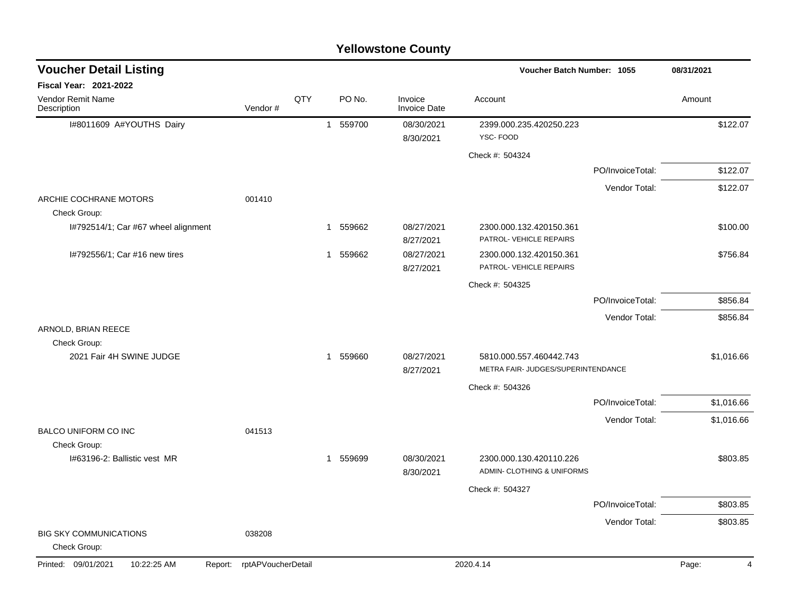| <b>Yellowstone County</b> |  |
|---------------------------|--|
|---------------------------|--|

| <b>Voucher Detail Listing</b>                 |                    |     | Voucher Batch Number: 1055 |                                | 08/31/2021                                                    |                  |                         |
|-----------------------------------------------|--------------------|-----|----------------------------|--------------------------------|---------------------------------------------------------------|------------------|-------------------------|
| <b>Fiscal Year: 2021-2022</b>                 |                    |     |                            |                                |                                                               |                  |                         |
| <b>Vendor Remit Name</b><br>Description       | Vendor#            | QTY | PO No.                     | Invoice<br><b>Invoice Date</b> | Account                                                       |                  | Amount                  |
| I#8011609 A#YOUTHS Dairy                      |                    |     | 559700<br>$\mathbf{1}$     | 08/30/2021<br>8/30/2021        | 2399.000.235.420250.223<br>YSC-FOOD                           |                  | \$122.07                |
|                                               |                    |     |                            |                                | Check #: 504324                                               |                  |                         |
|                                               |                    |     |                            |                                |                                                               | PO/InvoiceTotal: | \$122.07                |
|                                               |                    |     |                            |                                |                                                               | Vendor Total:    | \$122.07                |
| ARCHIE COCHRANE MOTORS<br>Check Group:        | 001410             |     |                            |                                |                                                               |                  |                         |
| I#792514/1; Car #67 wheel alignment           |                    |     | 559662<br>1                | 08/27/2021<br>8/27/2021        | 2300.000.132.420150.361<br>PATROL- VEHICLE REPAIRS            |                  | \$100.00                |
| I#792556/1; Car #16 new tires                 |                    |     | 559662<br>1                | 08/27/2021<br>8/27/2021        | 2300.000.132.420150.361<br>PATROL- VEHICLE REPAIRS            |                  | \$756.84                |
|                                               |                    |     |                            |                                | Check #: 504325                                               |                  |                         |
|                                               |                    |     |                            |                                |                                                               | PO/InvoiceTotal: | \$856.84                |
|                                               |                    |     |                            |                                |                                                               | Vendor Total:    | \$856.84                |
| ARNOLD, BRIAN REECE<br>Check Group:           |                    |     |                            |                                |                                                               |                  |                         |
| 2021 Fair 4H SWINE JUDGE                      |                    |     | 1 559660                   | 08/27/2021<br>8/27/2021        | 5810.000.557.460442.743<br>METRA FAIR- JUDGES/SUPERINTENDANCE |                  | \$1,016.66              |
|                                               |                    |     |                            |                                | Check #: 504326                                               |                  |                         |
|                                               |                    |     |                            |                                |                                                               | PO/InvoiceTotal: | \$1,016.66              |
|                                               |                    |     |                            |                                |                                                               | Vendor Total:    | \$1,016.66              |
| <b>BALCO UNIFORM CO INC</b>                   | 041513             |     |                            |                                |                                                               |                  |                         |
| Check Group:<br>I#63196-2: Ballistic vest MR  |                    |     | 559699<br>$\mathbf 1$      | 08/30/2021<br>8/30/2021        | 2300.000.130.420110.226<br>ADMIN- CLOTHING & UNIFORMS         |                  | \$803.85                |
|                                               |                    |     |                            |                                | Check #: 504327                                               |                  |                         |
|                                               |                    |     |                            |                                |                                                               | PO/InvoiceTotal: | \$803.85                |
|                                               |                    |     |                            |                                |                                                               | Vendor Total:    | \$803.85                |
| <b>BIG SKY COMMUNICATIONS</b><br>Check Group: | 038208             |     |                            |                                |                                                               |                  |                         |
| Printed: 09/01/2021<br>10:22:25 AM<br>Report: | rptAPVoucherDetail |     |                            |                                | 2020.4.14                                                     |                  | Page:<br>$\overline{4}$ |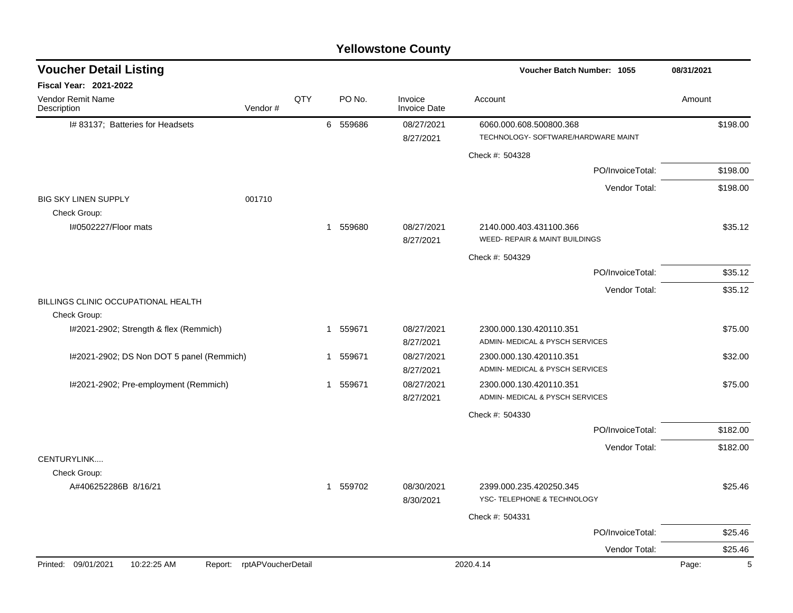| <b>Voucher Detail Listing</b>                                       |             |                                | Voucher Batch Number: 1055                                     | 08/31/2021 |
|---------------------------------------------------------------------|-------------|--------------------------------|----------------------------------------------------------------|------------|
| Fiscal Year: 2021-2022                                              |             |                                |                                                                |            |
| <b>Vendor Remit Name</b><br>QTY<br>Vendor#<br>Description           | PO No.      | Invoice<br><b>Invoice Date</b> | Account                                                        | Amount     |
| I# 83137; Batteries for Headsets                                    | 6 559686    | 08/27/2021<br>8/27/2021        | 6060.000.608.500800.368<br>TECHNOLOGY- SOFTWARE/HARDWARE MAINT | \$198.00   |
|                                                                     |             |                                | Check #: 504328                                                |            |
|                                                                     |             |                                | PO/InvoiceTotal:                                               | \$198.00   |
|                                                                     |             |                                | Vendor Total:                                                  | \$198.00   |
| <b>BIG SKY LINEN SUPPLY</b><br>001710                               |             |                                |                                                                |            |
| Check Group:                                                        |             |                                |                                                                |            |
| I#0502227/Floor mats                                                | 559680<br>1 | 08/27/2021<br>8/27/2021        | 2140.000.403.431100.366<br>WEED- REPAIR & MAINT BUILDINGS      | \$35.12    |
|                                                                     |             |                                | Check #: 504329                                                |            |
|                                                                     |             |                                | PO/InvoiceTotal:                                               | \$35.12    |
|                                                                     |             |                                | Vendor Total:                                                  | \$35.12    |
| BILLINGS CLINIC OCCUPATIONAL HEALTH<br>Check Group:                 |             |                                |                                                                |            |
| I#2021-2902; Strength & flex (Remmich)                              | 1 559671    | 08/27/2021                     | 2300.000.130.420110.351                                        | \$75.00    |
|                                                                     |             | 8/27/2021                      | ADMIN- MEDICAL & PYSCH SERVICES                                |            |
| I#2021-2902; DS Non DOT 5 panel (Remmich)                           | 1 559671    | 08/27/2021                     | 2300.000.130.420110.351<br>ADMIN- MEDICAL & PYSCH SERVICES     | \$32.00    |
|                                                                     |             | 8/27/2021                      |                                                                |            |
| I#2021-2902; Pre-employment (Remmich)                               | 1 559671    | 08/27/2021<br>8/27/2021        | 2300.000.130.420110.351<br>ADMIN- MEDICAL & PYSCH SERVICES     | \$75.00    |
|                                                                     |             |                                | Check #: 504330                                                |            |
|                                                                     |             |                                | PO/InvoiceTotal:                                               | \$182.00   |
|                                                                     |             |                                |                                                                |            |
| CENTURYLINK                                                         |             |                                | Vendor Total:                                                  | \$182.00   |
| Check Group:                                                        |             |                                |                                                                |            |
| A#406252286B 8/16/21                                                | 1 559702    | 08/30/2021<br>8/30/2021        | 2399.000.235.420250.345<br>YSC- TELEPHONE & TECHNOLOGY         | \$25.46    |
|                                                                     |             |                                | Check #: 504331                                                |            |
|                                                                     |             |                                | PO/InvoiceTotal:                                               | \$25.46    |
|                                                                     |             |                                | Vendor Total:                                                  | \$25.46    |
| Printed: 09/01/2021<br>10:22:25 AM<br>rptAPVoucherDetail<br>Report: |             |                                | 2020.4.14                                                      | 5<br>Page: |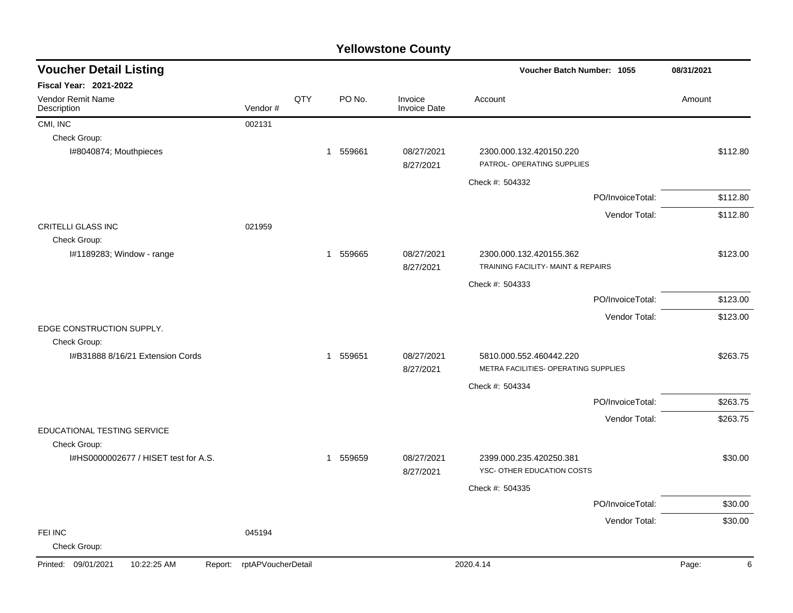| <b>Voucher Detail Listing</b>                 |                    |     |                        | Voucher Batch Number: 1055     | 08/31/2021                                                      |            |
|-----------------------------------------------|--------------------|-----|------------------------|--------------------------------|-----------------------------------------------------------------|------------|
| <b>Fiscal Year: 2021-2022</b>                 |                    |     |                        |                                |                                                                 |            |
| <b>Vendor Remit Name</b><br>Description       | Vendor#            | QTY | PO No.                 | Invoice<br><b>Invoice Date</b> | Account                                                         | Amount     |
| CMI, INC                                      | 002131             |     |                        |                                |                                                                 |            |
| Check Group:                                  |                    |     |                        |                                |                                                                 |            |
| I#8040874; Mouthpieces                        |                    |     | 559661<br>$\mathbf{1}$ | 08/27/2021<br>8/27/2021        | 2300.000.132.420150.220<br>PATROL- OPERATING SUPPLIES           | \$112.80   |
|                                               |                    |     |                        |                                | Check #: 504332                                                 |            |
|                                               |                    |     |                        |                                | PO/InvoiceTotal:                                                | \$112.80   |
|                                               |                    |     |                        |                                | Vendor Total:                                                   | \$112.80   |
| <b>CRITELLI GLASS INC</b>                     | 021959             |     |                        |                                |                                                                 |            |
| Check Group:                                  |                    |     |                        |                                |                                                                 |            |
| I#1189283; Window - range                     |                    |     | 559665<br>1            | 08/27/2021<br>8/27/2021        | 2300.000.132.420155.362<br>TRAINING FACILITY- MAINT & REPAIRS   | \$123.00   |
|                                               |                    |     |                        |                                | Check #: 504333                                                 |            |
|                                               |                    |     |                        |                                | PO/InvoiceTotal:                                                | \$123.00   |
|                                               |                    |     |                        |                                | Vendor Total:                                                   | \$123.00   |
| EDGE CONSTRUCTION SUPPLY.                     |                    |     |                        |                                |                                                                 |            |
| Check Group:                                  |                    |     | 559651<br>$\mathbf{1}$ | 08/27/2021                     |                                                                 | \$263.75   |
| I#B31888 8/16/21 Extension Cords              |                    |     |                        | 8/27/2021                      | 5810.000.552.460442.220<br>METRA FACILITIES- OPERATING SUPPLIES |            |
|                                               |                    |     |                        |                                | Check #: 504334                                                 |            |
|                                               |                    |     |                        |                                | PO/InvoiceTotal:                                                | \$263.75   |
|                                               |                    |     |                        |                                | Vendor Total:                                                   | \$263.75   |
| EDUCATIONAL TESTING SERVICE                   |                    |     |                        |                                |                                                                 |            |
| Check Group:                                  |                    |     |                        |                                |                                                                 |            |
| I#HS0000002677 / HISET test for A.S.          |                    |     | 559659<br>$\mathbf{1}$ | 08/27/2021<br>8/27/2021        | 2399.000.235.420250.381<br>YSC- OTHER EDUCATION COSTS           | \$30.00    |
|                                               |                    |     |                        |                                | Check #: 504335                                                 |            |
|                                               |                    |     |                        |                                | PO/InvoiceTotal:                                                | \$30.00    |
|                                               |                    |     |                        |                                | Vendor Total:                                                   | \$30.00    |
| FEI INC<br>Check Group:                       | 045194             |     |                        |                                |                                                                 |            |
| Printed: 09/01/2021<br>10:22:25 AM<br>Report: | rptAPVoucherDetail |     |                        |                                | 2020.4.14                                                       | Page:<br>6 |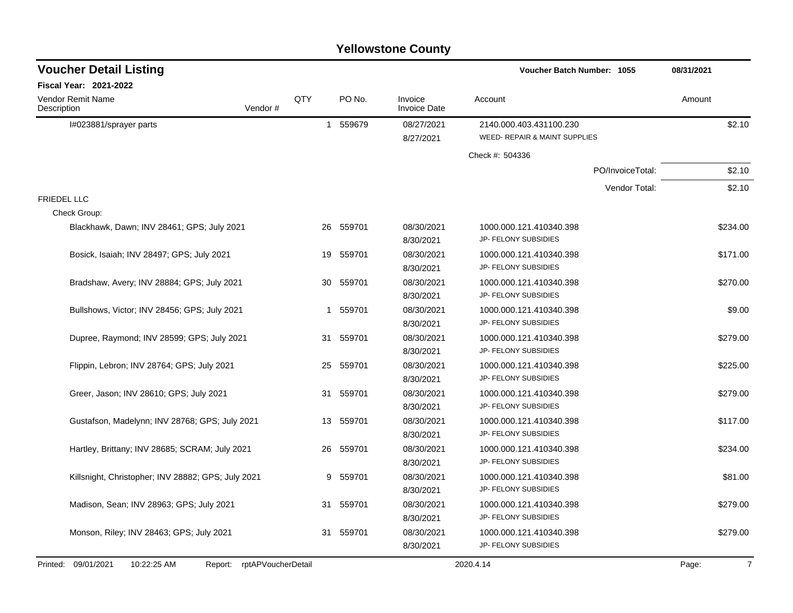| <b>Voucher Detail Listing</b>                      |                               |              |           |                                | Voucher Batch Number: 1055                               |                  | 08/31/2021              |
|----------------------------------------------------|-------------------------------|--------------|-----------|--------------------------------|----------------------------------------------------------|------------------|-------------------------|
| <b>Fiscal Year: 2021-2022</b>                      |                               |              |           |                                |                                                          |                  |                         |
| <b>Vendor Remit Name</b><br>Description            | Vendor#                       | QTY          | PO No.    | Invoice<br><b>Invoice Date</b> | Account                                                  |                  | Amount                  |
| I#023881/sprayer parts                             |                               |              | 1 559679  | 08/27/2021<br>8/27/2021        | 2140.000.403.431100.230<br>WEED- REPAIR & MAINT SUPPLIES |                  | \$2.10                  |
|                                                    |                               |              |           |                                | Check #: 504336                                          |                  |                         |
|                                                    |                               |              |           |                                |                                                          | PO/InvoiceTotal: | \$2.10                  |
|                                                    |                               |              |           |                                |                                                          | Vendor Total:    | \$2.10                  |
| <b>FRIEDEL LLC</b>                                 |                               |              |           |                                |                                                          |                  |                         |
| Check Group:                                       |                               |              |           |                                |                                                          |                  |                         |
| Blackhawk, Dawn; INV 28461; GPS; July 2021         |                               |              | 26 559701 | 08/30/2021                     | 1000.000.121.410340.398                                  |                  | \$234.00                |
|                                                    |                               |              |           | 8/30/2021                      | JP- FELONY SUBSIDIES                                     |                  |                         |
| Bosick, Isaiah; INV 28497; GPS; July 2021          |                               | 19           | 559701    | 08/30/2021                     | 1000.000.121.410340.398                                  |                  | \$171.00                |
|                                                    |                               |              |           | 8/30/2021                      | JP- FELONY SUBSIDIES                                     |                  |                         |
| Bradshaw, Avery; INV 28884; GPS; July 2021         |                               | 30           | 559701    | 08/30/2021                     | 1000.000.121.410340.398                                  |                  | \$270.00                |
|                                                    |                               |              |           | 8/30/2021                      | JP- FELONY SUBSIDIES                                     |                  |                         |
| Bullshows, Victor; INV 28456; GPS; July 2021       |                               | $\mathbf{1}$ | 559701    | 08/30/2021                     | 1000.000.121.410340.398                                  |                  | \$9.00                  |
|                                                    |                               |              |           | 8/30/2021                      | JP- FELONY SUBSIDIES                                     |                  |                         |
| Dupree, Raymond; INV 28599; GPS; July 2021         |                               | 31           | 559701    | 08/30/2021                     | 1000.000.121.410340.398                                  |                  | \$279.00                |
|                                                    |                               |              |           | 8/30/2021                      | JP- FELONY SUBSIDIES                                     |                  |                         |
| Flippin, Lebron; INV 28764; GPS; July 2021         |                               | 25           | 559701    | 08/30/2021                     | 1000.000.121.410340.398                                  |                  | \$225.00                |
|                                                    |                               |              |           | 8/30/2021                      | JP- FELONY SUBSIDIES                                     |                  |                         |
| Greer, Jason; INV 28610; GPS; July 2021            |                               | 31           | 559701    | 08/30/2021                     | 1000.000.121.410340.398                                  |                  | \$279.00                |
|                                                    |                               |              |           | 8/30/2021                      | JP- FELONY SUBSIDIES                                     |                  |                         |
| Gustafson, Madelynn; INV 28768; GPS; July 2021     |                               | 13           | 559701    | 08/30/2021                     | 1000.000.121.410340.398                                  |                  | \$117.00                |
|                                                    |                               |              |           | 8/30/2021                      | JP- FELONY SUBSIDIES                                     |                  |                         |
| Hartley, Brittany; INV 28685; SCRAM; July 2021     |                               | 26           | 559701    | 08/30/2021                     | 1000.000.121.410340.398                                  |                  | \$234.00                |
|                                                    |                               |              |           | 8/30/2021                      | JP- FELONY SUBSIDIES                                     |                  |                         |
| Killsnight, Christopher; INV 28882; GPS; July 2021 |                               | 9            | 559701    | 08/30/2021                     | 1000.000.121.410340.398                                  |                  | \$81.00                 |
|                                                    |                               |              |           | 8/30/2021                      | JP- FELONY SUBSIDIES                                     |                  |                         |
| Madison, Sean; INV 28963; GPS; July 2021           |                               | 31           | 559701    | 08/30/2021                     | 1000.000.121.410340.398                                  |                  | \$279.00                |
|                                                    |                               |              |           | 8/30/2021                      | JP- FELONY SUBSIDIES                                     |                  |                         |
| Monson, Riley; INV 28463; GPS; July 2021           |                               | 31           | 559701    | 08/30/2021                     | 1000.000.121.410340.398                                  |                  | \$279.00                |
|                                                    |                               |              |           | 8/30/2021                      | JP- FELONY SUBSIDIES                                     |                  |                         |
| Printed:<br>09/01/2021<br>10:22:25 AM              | rptAPVoucherDetail<br>Report: |              |           |                                | 2020.4.14                                                |                  | $\overline{7}$<br>Page: |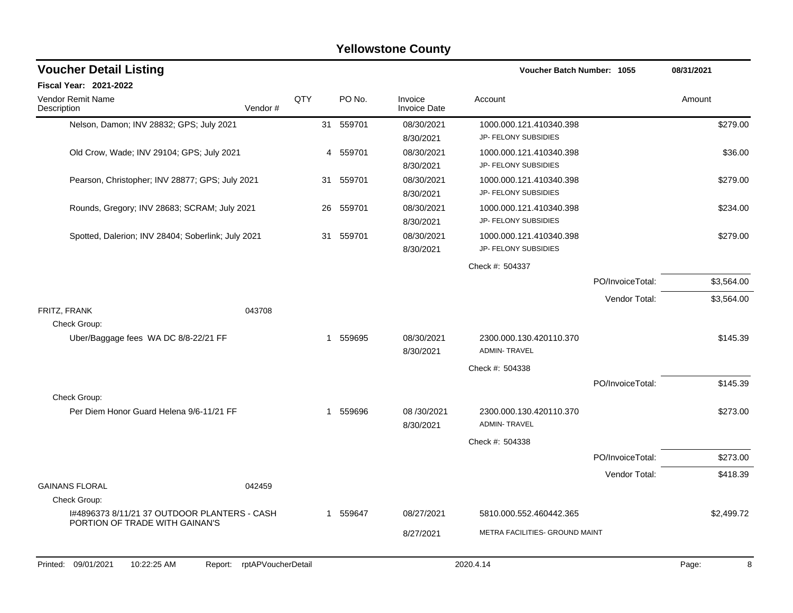| <b>Yellowstone County</b>                                                      |                            |     |           |                                |                                                 |                  |            |  |  |  |  |
|--------------------------------------------------------------------------------|----------------------------|-----|-----------|--------------------------------|-------------------------------------------------|------------------|------------|--|--|--|--|
| <b>Voucher Detail Listing</b>                                                  |                            |     |           |                                | <b>Voucher Batch Number: 1055</b>               |                  | 08/31/2021 |  |  |  |  |
| Fiscal Year: 2021-2022                                                         |                            |     |           |                                |                                                 |                  |            |  |  |  |  |
| Vendor Remit Name<br>Description                                               | Vendor#                    | QTY | PO No.    | Invoice<br><b>Invoice Date</b> | Account                                         |                  | Amount     |  |  |  |  |
| Nelson, Damon; INV 28832; GPS; July 2021                                       |                            | 31  | 559701    | 08/30/2021<br>8/30/2021        | 1000.000.121.410340.398<br>JP- FELONY SUBSIDIES |                  | \$279.00   |  |  |  |  |
| Old Crow, Wade; INV 29104; GPS; July 2021                                      |                            |     | 4 559701  | 08/30/2021<br>8/30/2021        | 1000.000.121.410340.398<br>JP- FELONY SUBSIDIES |                  | \$36.00    |  |  |  |  |
| Pearson, Christopher; INV 28877; GPS; July 2021                                |                            |     | 31 559701 | 08/30/2021<br>8/30/2021        | 1000.000.121.410340.398<br>JP- FELONY SUBSIDIES |                  | \$279.00   |  |  |  |  |
| Rounds, Gregory; INV 28683; SCRAM; July 2021                                   |                            | 26  | 559701    | 08/30/2021<br>8/30/2021        | 1000.000.121.410340.398<br>JP- FELONY SUBSIDIES |                  | \$234.00   |  |  |  |  |
| Spotted, Dalerion; INV 28404; Soberlink; July 2021                             |                            | 31  | 559701    | 08/30/2021<br>8/30/2021        | 1000.000.121.410340.398<br>JP- FELONY SUBSIDIES |                  | \$279.00   |  |  |  |  |
|                                                                                |                            |     |           |                                | Check #: 504337                                 |                  |            |  |  |  |  |
|                                                                                |                            |     |           |                                |                                                 | PO/InvoiceTotal: | \$3,564.00 |  |  |  |  |
|                                                                                |                            |     |           |                                |                                                 | Vendor Total:    | \$3,564.00 |  |  |  |  |
| FRITZ, FRANK<br>Check Group:                                                   | 043708                     |     |           |                                |                                                 |                  |            |  |  |  |  |
| Uber/Baggage fees WA DC 8/8-22/21 FF                                           |                            | 1   | 559695    | 08/30/2021<br>8/30/2021        | 2300.000.130.420110.370<br><b>ADMIN-TRAVEL</b>  |                  | \$145.39   |  |  |  |  |
|                                                                                |                            |     |           |                                | Check #: 504338                                 |                  |            |  |  |  |  |
| Check Group:                                                                   |                            |     |           |                                |                                                 | PO/InvoiceTotal: | \$145.39   |  |  |  |  |
| Per Diem Honor Guard Helena 9/6-11/21 FF                                       |                            | 1   | 559696    | 08 / 30 / 2021<br>8/30/2021    | 2300.000.130.420110.370<br><b>ADMIN-TRAVEL</b>  |                  | \$273.00   |  |  |  |  |
|                                                                                |                            |     |           |                                | Check #: 504338                                 |                  |            |  |  |  |  |
|                                                                                |                            |     |           |                                |                                                 | PO/InvoiceTotal: | \$273.00   |  |  |  |  |
|                                                                                |                            |     |           |                                |                                                 | Vendor Total:    | \$418.39   |  |  |  |  |
| <b>GAINANS FLORAL</b>                                                          | 042459                     |     |           |                                |                                                 |                  |            |  |  |  |  |
| Check Group:                                                                   |                            |     |           |                                |                                                 |                  |            |  |  |  |  |
| 1#4896373 8/11/21 37 OUTDOOR PLANTERS - CASH<br>PORTION OF TRADE WITH GAINAN'S |                            |     | 1 559647  | 08/27/2021                     | 5810.000.552.460442.365                         |                  | \$2,499.72 |  |  |  |  |
|                                                                                |                            |     |           | 8/27/2021                      | METRA FACILITIES- GROUND MAINT                  |                  |            |  |  |  |  |
| Printed: 09/01/2021<br>10:22:25 AM                                             | Report: rptAPVoucherDetail |     |           |                                | 2020.4.14                                       |                  | Page:<br>8 |  |  |  |  |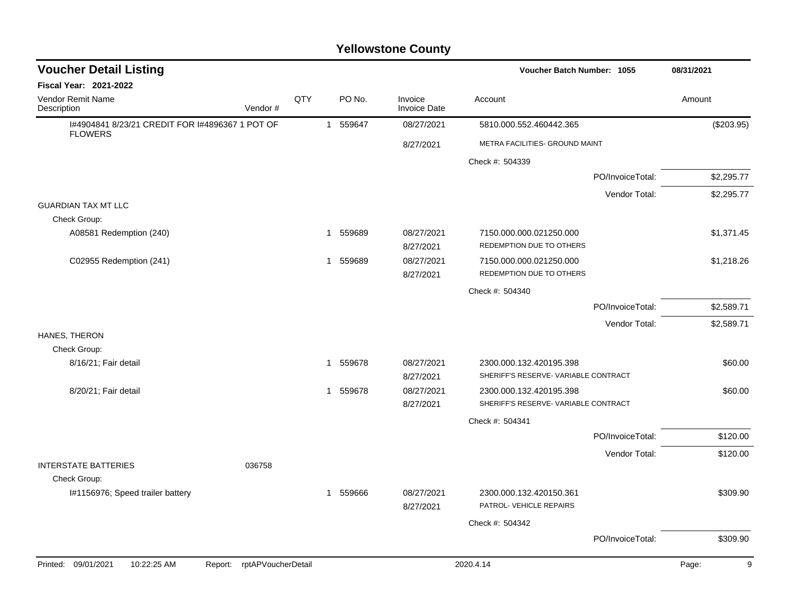### I#4904841 8/23/21 CREDIT FOR I#4896367 1 POT OF FLOWERS 1 559647 08/27/2021 5810.000.552.460442.365 (\$203.95) 8/27/2021 METRA FACILITIES- GROUND MAINT Check #: 504339 PO/InvoiceTotal: \$2,295.77 Vendor Total: \$2,295.77 GUARDIAN TAX MT LLC Check Group: A08581 Redemption (240) 1 559689 08/27/2021 7150.000.000.021250.000 121 559689 51,371.45 8/27/2021 REDEMPTION DUE TO OTHERS C02955 Redemption (241) 1 559689 08/27/2021 7150.000.000.021250.000 12150.000 \$1,218.26 8/27/2021 REDEMPTION DUE TO OTHERS Check #: 504340 PO/InvoiceTotal: \$2,589.71 Vendor Total: \$2,589.71 HANES, THERON Check Group: 8/16/21; Fair detail 1 1 559678 08/27/2021 2300.000.132.420195.398 360.00 380.00 8/27/2021 SHERIFF'S RESERVE- VARIABLE CONTRACT 8/20/21; Fair detail 1 1 559678 08/27/2021 2300.000.132.420195.398 \$60.00 \$60.00 8/27/2021 SHERIFF'S RESERVE- VARIABLE CONTRACT Check #: 504341 PO/InvoiceTotal: \$120.00 Vendor Total: \$120.00 INTERSTATE BATTERIES 036758 Check Group: I#1156976; Speed trailer battery **1 559666** 08/27/2021 2300.000.132.420150.361 \$309.90 8/27/2021 PATROL- VEHICLE REPAIRS Check #: 504342 PO/InvoiceTotal: \$309.90 **Voucher Batch Number: Yellowstone County** Vendor Remit Name Description **Voucher Detail Listing Fiscal Year: 2021-2022 1055 08/31/2021** PO No. Invoice Account Amount Amount Amount Amount Vendor # **QTY** Invoice Date Printed: 09/01/2021 10:22:25 AM Report: rptAPVoucherDetail 2020.4.14 2020.4.14 Page: 9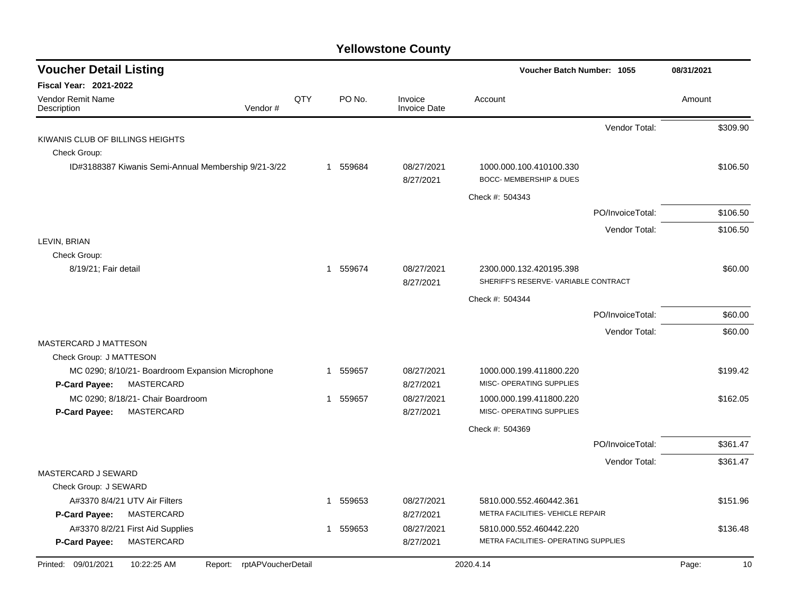| <b>Voucher Detail Listing</b>                           |                                                     |                    |    |          |                                | Voucher Batch Number: 1055                                    |                  |        | 08/31/2021 |
|---------------------------------------------------------|-----------------------------------------------------|--------------------|----|----------|--------------------------------|---------------------------------------------------------------|------------------|--------|------------|
| Fiscal Year: 2021-2022                                  |                                                     |                    |    |          |                                |                                                               |                  |        |            |
| <b>Vendor Remit Name</b><br>Description                 | Vendor#                                             | QTY                |    | PO No.   | Invoice<br><b>Invoice Date</b> | Account                                                       |                  | Amount |            |
|                                                         |                                                     |                    |    |          |                                |                                                               | Vendor Total:    |        | \$309.90   |
| KIWANIS CLUB OF BILLINGS HEIGHTS                        |                                                     |                    |    |          |                                |                                                               |                  |        |            |
| Check Group:                                            |                                                     |                    |    |          |                                |                                                               |                  |        |            |
|                                                         | ID#3188387 Kiwanis Semi-Annual Membership 9/21-3/22 |                    |    | 1 559684 | 08/27/2021<br>8/27/2021        | 1000.000.100.410100.330<br><b>BOCC- MEMBERSHIP &amp; DUES</b> |                  |        | \$106.50   |
|                                                         |                                                     |                    |    |          |                                | Check #: 504343                                               |                  |        |            |
|                                                         |                                                     |                    |    |          |                                |                                                               | PO/InvoiceTotal: |        | \$106.50   |
|                                                         |                                                     |                    |    |          |                                |                                                               | Vendor Total:    |        | \$106.50   |
| LEVIN, BRIAN                                            |                                                     |                    |    |          |                                |                                                               |                  |        |            |
| Check Group:                                            |                                                     |                    |    |          |                                |                                                               |                  |        |            |
| 8/19/21; Fair detail                                    |                                                     |                    |    | 1 559674 | 08/27/2021                     | 2300.000.132.420195.398                                       |                  |        | \$60.00    |
|                                                         |                                                     |                    |    |          | 8/27/2021                      | SHERIFF'S RESERVE- VARIABLE CONTRACT                          |                  |        |            |
|                                                         |                                                     |                    |    |          |                                | Check #: 504344                                               |                  |        |            |
|                                                         |                                                     |                    |    |          |                                |                                                               | PO/InvoiceTotal: |        | \$60.00    |
|                                                         |                                                     |                    |    |          |                                |                                                               | Vendor Total:    |        | \$60.00    |
| <b>MASTERCARD J MATTESON</b><br>Check Group: J MATTESON |                                                     |                    |    |          |                                |                                                               |                  |        |            |
|                                                         | MC 0290; 8/10/21- Boardroom Expansion Microphone    |                    | -1 | 559657   | 08/27/2021                     | 1000.000.199.411800.220                                       |                  |        | \$199.42   |
| P-Card Payee:                                           | MASTERCARD                                          |                    |    |          | 8/27/2021                      | MISC- OPERATING SUPPLIES                                      |                  |        |            |
|                                                         | MC 0290; 8/18/21- Chair Boardroom                   |                    |    | 1 559657 | 08/27/2021                     | 1000.000.199.411800.220                                       |                  |        | \$162.05   |
| P-Card Payee:                                           | MASTERCARD                                          |                    |    |          | 8/27/2021                      | MISC- OPERATING SUPPLIES                                      |                  |        |            |
|                                                         |                                                     |                    |    |          |                                | Check #: 504369                                               |                  |        |            |
|                                                         |                                                     |                    |    |          |                                |                                                               | PO/InvoiceTotal: |        | \$361.47   |
|                                                         |                                                     |                    |    |          |                                |                                                               | Vendor Total:    |        | \$361.47   |
| <b>MASTERCARD J SEWARD</b>                              |                                                     |                    |    |          |                                |                                                               |                  |        |            |
| Check Group: J SEWARD                                   |                                                     |                    |    |          |                                |                                                               |                  |        |            |
|                                                         | A#3370 8/4/21 UTV Air Filters                       |                    | 1  | 559653   | 08/27/2021                     | 5810.000.552.460442.361                                       |                  |        | \$151.96   |
| <b>P-Card Payee:</b>                                    | MASTERCARD                                          |                    |    |          | 8/27/2021                      | METRA FACILITIES- VEHICLE REPAIR                              |                  |        |            |
|                                                         | A#3370 8/2/21 First Aid Supplies                    |                    | 1  | 559653   | 08/27/2021                     | 5810.000.552.460442.220                                       |                  |        | \$136.48   |
| P-Card Payee:                                           | MASTERCARD                                          |                    |    |          | 8/27/2021                      | METRA FACILITIES- OPERATING SUPPLIES                          |                  |        |            |
| Printed: 09/01/2021                                     | 10:22:25 AM<br>Report:                              | rptAPVoucherDetail |    |          |                                | 2020.4.14                                                     |                  | Page:  | 10         |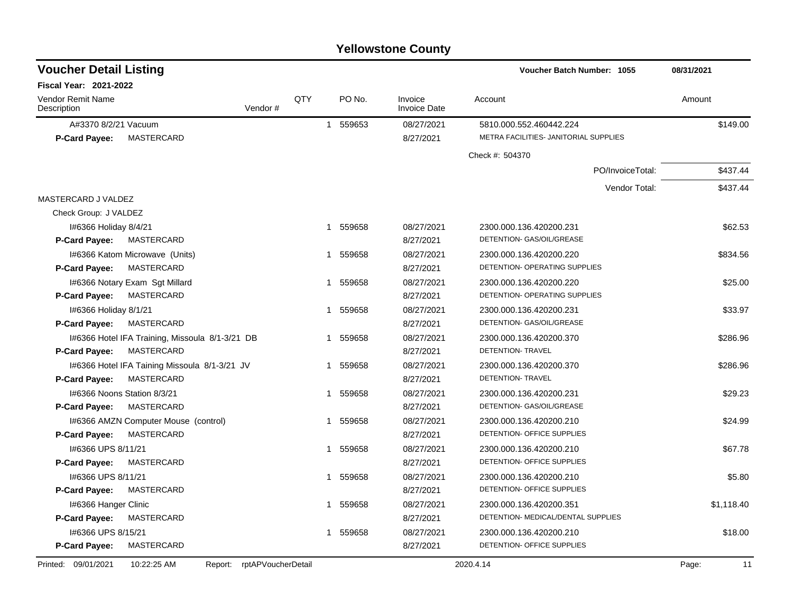| <b>Voucher Detail Listing</b>                   |                    |     |                        |                                | Voucher Batch Number: 1055            | 08/31/2021  |
|-------------------------------------------------|--------------------|-----|------------------------|--------------------------------|---------------------------------------|-------------|
| <b>Fiscal Year: 2021-2022</b>                   |                    |     |                        |                                |                                       |             |
| <b>Vendor Remit Name</b><br>Description         | Vendor #           | QTY | PO No.                 | Invoice<br><b>Invoice Date</b> | Account                               | Amount      |
| A#3370 8/2/21 Vacuum                            |                    |     | 1 559653               | 08/27/2021                     | 5810.000.552.460442.224               | \$149.00    |
| <b>MASTERCARD</b><br><b>P-Card Payee:</b>       |                    |     |                        | 8/27/2021                      | METRA FACILITIES- JANITORIAL SUPPLIES |             |
|                                                 |                    |     |                        |                                | Check #: 504370                       |             |
|                                                 |                    |     |                        |                                | PO/InvoiceTotal:                      | \$437.44    |
|                                                 |                    |     |                        |                                | Vendor Total:                         | \$437.44    |
| MASTERCARD J VALDEZ                             |                    |     |                        |                                |                                       |             |
| Check Group: J VALDEZ                           |                    |     |                        |                                |                                       |             |
| I#6366 Holiday 8/4/21                           |                    |     | 1 559658               | 08/27/2021                     | 2300.000.136.420200.231               | \$62.53     |
| <b>MASTERCARD</b><br><b>P-Card Payee:</b>       |                    |     |                        | 8/27/2021                      | DETENTION- GAS/OIL/GREASE             |             |
| I#6366 Katom Microwave (Units)                  |                    |     | 559658<br>$\mathbf{1}$ | 08/27/2021                     | 2300.000.136.420200.220               | \$834.56    |
| <b>MASTERCARD</b><br><b>P-Card Payee:</b>       |                    |     |                        | 8/27/2021                      | DETENTION- OPERATING SUPPLIES         |             |
| 1#6366 Notary Exam Sgt Millard                  |                    | -1  | 559658                 | 08/27/2021                     | 2300.000.136.420200.220               | \$25.00     |
| P-Card Payee:<br>MASTERCARD                     |                    |     |                        | 8/27/2021                      | DETENTION- OPERATING SUPPLIES         |             |
| I#6366 Holiday 8/1/21                           |                    |     | 559658<br>-1           | 08/27/2021                     | 2300.000.136.420200.231               | \$33.97     |
| <b>MASTERCARD</b><br>P-Card Payee:              |                    |     |                        | 8/27/2021                      | DETENTION- GAS/OIL/GREASE             |             |
| I#6366 Hotel IFA Training, Missoula 8/1-3/21 DB |                    |     | 559658<br>$\mathbf{1}$ | 08/27/2021                     | 2300.000.136.420200.370               | \$286.96    |
| <b>MASTERCARD</b><br><b>P-Card Payee:</b>       |                    |     |                        | 8/27/2021                      | <b>DETENTION- TRAVEL</b>              |             |
| 1#6366 Hotel IFA Taining Missoula 8/1-3/21 JV   |                    |     | 559658<br>1            | 08/27/2021                     | 2300.000.136.420200.370               | \$286.96    |
| <b>P-Card Payee:</b><br>MASTERCARD              |                    |     |                        | 8/27/2021                      | DETENTION- TRAVEL                     |             |
| 1#6366 Noons Station 8/3/21                     |                    | -1  | 559658                 | 08/27/2021                     | 2300.000.136.420200.231               | \$29.23     |
| MASTERCARD<br><b>P-Card Payee:</b>              |                    |     |                        | 8/27/2021                      | DETENTION- GAS/OIL/GREASE             |             |
| 1#6366 AMZN Computer Mouse (control)            |                    | -1  | 559658                 | 08/27/2021                     | 2300.000.136.420200.210               | \$24.99     |
| MASTERCARD<br><b>P-Card Payee:</b>              |                    |     |                        | 8/27/2021                      | DETENTION- OFFICE SUPPLIES            |             |
| I#6366 UPS 8/11/21                              |                    | 1   | 559658                 | 08/27/2021                     | 2300.000.136.420200.210               | \$67.78     |
| MASTERCARD<br>P-Card Payee:                     |                    |     |                        | 8/27/2021                      | DETENTION- OFFICE SUPPLIES            |             |
| I#6366 UPS 8/11/21                              |                    |     | 559658<br>1            | 08/27/2021                     | 2300.000.136.420200.210               | \$5.80      |
| MASTERCARD<br><b>P-Card Payee:</b>              |                    |     |                        | 8/27/2021                      | DETENTION- OFFICE SUPPLIES            |             |
| I#6366 Hanger Clinic                            |                    | 1   | 559658                 | 08/27/2021                     | 2300.000.136.420200.351               | \$1,118.40  |
| MASTERCARD<br><b>P-Card Payee:</b>              |                    |     |                        | 8/27/2021                      | DETENTION- MEDICAL/DENTAL SUPPLIES    |             |
| I#6366 UPS 8/15/21                              |                    |     | 1 559658               | 08/27/2021                     | 2300.000.136.420200.210               | \$18.00     |
| MASTERCARD<br><b>P-Card Payee:</b>              |                    |     |                        | 8/27/2021                      | DETENTION- OFFICE SUPPLIES            |             |
| Printed: 09/01/2021<br>10:22:25 AM<br>Report:   | rptAPVoucherDetail |     |                        |                                | 2020.4.14                             | Page:<br>11 |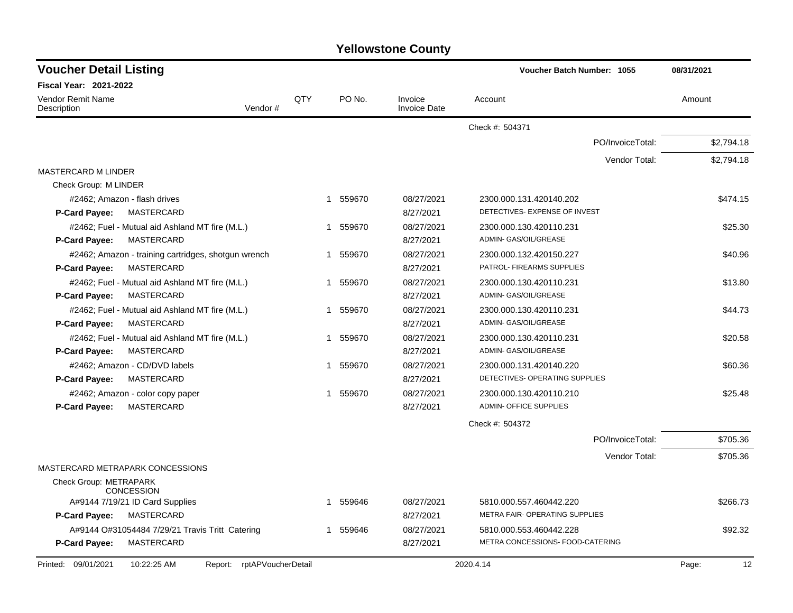| <b>Voucher Detail Listing</b>                                    |     |                        |                                | Voucher Batch Number: 1055       |                  | 08/31/2021  |
|------------------------------------------------------------------|-----|------------------------|--------------------------------|----------------------------------|------------------|-------------|
| <b>Fiscal Year: 2021-2022</b>                                    |     |                        |                                |                                  |                  |             |
| <b>Vendor Remit Name</b><br>Vendor#<br>Description               | QTY | PO No.                 | Invoice<br><b>Invoice Date</b> | Account                          |                  | Amount      |
|                                                                  |     |                        |                                | Check #: 504371                  |                  |             |
|                                                                  |     |                        |                                |                                  | PO/InvoiceTotal: | \$2,794.18  |
|                                                                  |     |                        |                                |                                  | Vendor Total:    | \$2,794.18  |
| <b>MASTERCARD M LINDER</b>                                       |     |                        |                                |                                  |                  |             |
| Check Group: M LINDER                                            |     |                        |                                |                                  |                  |             |
| #2462; Amazon - flash drives                                     |     | 1 559670               | 08/27/2021                     | 2300.000.131.420140.202          |                  | \$474.15    |
| MASTERCARD<br><b>P-Card Payee:</b>                               |     |                        | 8/27/2021                      | DETECTIVES- EXPENSE OF INVEST    |                  |             |
| #2462; Fuel - Mutual aid Ashland MT fire (M.L.)                  |     | 1 559670               | 08/27/2021                     | 2300.000.130.420110.231          |                  | \$25.30     |
| MASTERCARD<br><b>P-Card Payee:</b>                               |     |                        | 8/27/2021                      | ADMIN- GAS/OIL/GREASE            |                  |             |
| #2462; Amazon - training cartridges, shotgun wrench              |     | 559670<br>1            | 08/27/2021                     | 2300.000.132.420150.227          |                  | \$40.96     |
| MASTERCARD<br>P-Card Payee:                                      |     |                        | 8/27/2021                      | PATROL- FIREARMS SUPPLIES        |                  |             |
| #2462; Fuel - Mutual aid Ashland MT fire (M.L.)                  |     | 559670<br>$\mathbf{1}$ | 08/27/2021                     | 2300.000.130.420110.231          |                  | \$13.80     |
| <b>MASTERCARD</b><br><b>P-Card Payee:</b>                        |     |                        | 8/27/2021                      | ADMIN- GAS/OIL/GREASE            |                  |             |
| #2462; Fuel - Mutual aid Ashland MT fire (M.L.)                  |     | 559670<br>1            | 08/27/2021                     | 2300.000.130.420110.231          |                  | \$44.73     |
| <b>MASTERCARD</b><br><b>P-Card Payee:</b>                        |     |                        | 8/27/2021                      | ADMIN- GAS/OIL/GREASE            |                  |             |
| #2462; Fuel - Mutual aid Ashland MT fire (M.L.)                  |     | 559670<br>$\mathbf{1}$ | 08/27/2021                     | 2300.000.130.420110.231          |                  | \$20.58     |
| <b>MASTERCARD</b><br><b>P-Card Payee:</b>                        |     |                        | 8/27/2021                      | ADMIN- GAS/OIL/GREASE            |                  |             |
| #2462; Amazon - CD/DVD labels                                    |     | 559670<br>1            | 08/27/2021                     | 2300.000.131.420140.220          |                  | \$60.36     |
| MASTERCARD<br><b>P-Card Payee:</b>                               |     |                        | 8/27/2021                      | DETECTIVES- OPERATING SUPPLIES   |                  |             |
| #2462; Amazon - color copy paper                                 |     | 1 559670               | 08/27/2021                     | 2300.000.130.420110.210          |                  | \$25.48     |
| MASTERCARD<br><b>P-Card Payee:</b>                               |     |                        | 8/27/2021                      | <b>ADMIN- OFFICE SUPPLIES</b>    |                  |             |
|                                                                  |     |                        |                                | Check #: 504372                  |                  |             |
|                                                                  |     |                        |                                |                                  | PO/InvoiceTotal: | \$705.36    |
|                                                                  |     |                        |                                |                                  | Vendor Total:    | \$705.36    |
| MASTERCARD METRAPARK CONCESSIONS                                 |     |                        |                                |                                  |                  |             |
| Check Group: METRAPARK<br><b>CONCESSION</b>                      |     |                        |                                |                                  |                  |             |
| A#9144 7/19/21 ID Card Supplies                                  |     | 1 559646               | 08/27/2021                     | 5810.000.557.460442.220          |                  | \$266.73    |
| <b>P-Card Payee:</b><br>MASTERCARD                               |     |                        | 8/27/2021                      | METRA FAIR- OPERATING SUPPLIES   |                  |             |
| A#9144 O#31054484 7/29/21 Travis Tritt Catering                  |     | 1 559646               | 08/27/2021                     | 5810.000.553.460442.228          |                  | \$92.32     |
| P-Card Payee:<br>MASTERCARD                                      |     |                        | 8/27/2021                      | METRA CONCESSIONS- FOOD-CATERING |                  |             |
| Report: rptAPVoucherDetail<br>Printed: 09/01/2021<br>10:22:25 AM |     |                        |                                | 2020.4.14                        |                  | Page:<br>12 |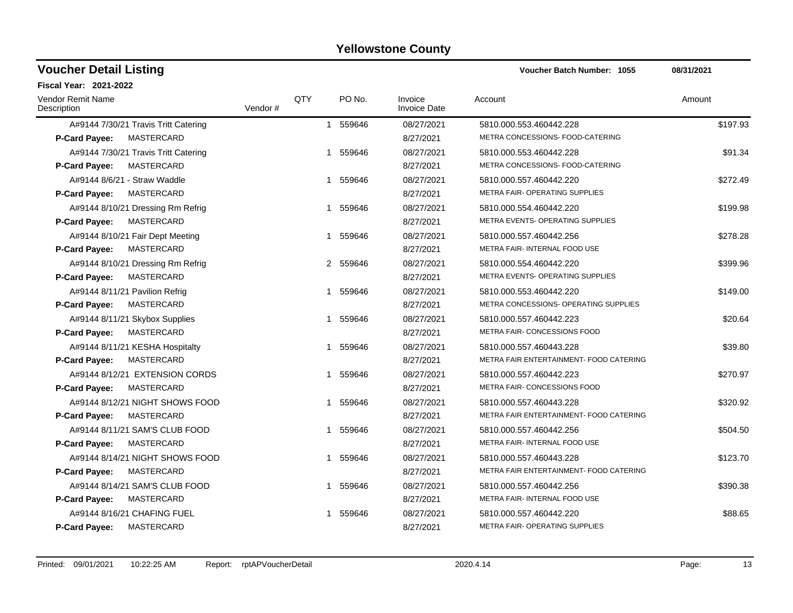#### A#9144 7/30/21 Travis Tritt Catering 1 1 559646 08/27/2021 5810.000.553.460442.228 \$197.93 **P-Card Payee:** MASTERCARD 8/27/2021 METRA CONCESSIONS- FOOD-CATERING A#9144 7/30/21 Travis Tritt Catering  $1 559646 08/27/2021 5810.000.553.460442.228$ \$91.34 **P-Card Payee:** MASTERCARD **8/27/2021** METRA CONCESSIONS- FOOD-CATERING A#9144 8/6/21 - Straw Waddle 1 1 559646 08/27/2021 5810.000.557.460442.220 \$272.49 **P-Card Payee:** MASTERCARD **8/27/2021** METRA FAIR- OPERATING SUPPLIES A#9144 8/10/21 Dressing Rm Refrig  $1 559646 0.8/27/2021 5810.000.554.460442.220$  \$199.98 **P-Card Payee:** MASTERCARD **8/27/2021** METRA EVENTS- OPERATING SUPPLIES A#9144 8/10/21 Fair Dept Meeting  $1 559646 08/27/2021 5810.000.557.460442.256$ \$278.28 **P-Card Payee:** MASTERCARD **8/27/2021** METRA FAIR- INTERNAL FOOD USE A#9144 8/10/21 Dressing Rm Refrig  $2\quad 559646$   $08/27/2021$   $5810.000.554.460442.220$  \$399.96 **P-Card Payee:** MASTERCARD **8/27/2021** METRA EVENTS- OPERATING SUPPLIES A#9144 8/11/21 Pavilion Refrig 1 559646 1 559646 08/27/2021 5810.000.553.460442.220 **P-Card Payee:** MASTERCARD **8/27/2021** METRA CONCESSIONS- OPERATING SUPPLIES A#9144 8/11/21 Skybox Supplies  $1 559646 08/27/2021 5810.000.557.460442.223$  \$20.64 **P-Card Payee:** MASTERCARD 8/27/2021 METRA FAIR- CONCESSIONS FOOD A#9144 8/11/21 KESHA Hospitalty  $$39.80$ <br>1 559646 08/27/2021 5810.000.557.460443.228 **P-Card Payee:** MASTERCARD **MASTER ARE ALCORED ASSESSED AS A RESPONSE A SECURITY METRA FAIR ENTERTAINMENT- FOOD CATERING** A#9144 8/12/21 EXTENSION CORDS 1 559646 08/27/2021 5810.000.557.460442.223 \$270.97 **P-Card Payee:** MASTERCARD 8/27/2021 METRA FAIR- CONCESSIONS FOOD A#9144 8/12/21 NIGHT SHOWS FOOD 1 559646 08/27/2021 5810.000.557.460443.228 5810.000 557.460443.228 **P-Card Payee:** MASTERCARD **8/27/2021 METRA FAIR ENTERTAINMENT- FOOD CATERING** A#9144 8/11/21 SAM'S CLUB FOOD 1 559646 08/27/2021 5810.000.557.460442.256 5504.50 **P-Card Payee:** MASTERCARD **8/27/2021** METRA FAIR- INTERNAL FOOD USE A#9144 8/14/21 NIGHT SHOWS FOOD 1 559646 08/27/2021 5810.000.557.460443.228 5810.000 557.460443.228 **P-Card Payee:** MASTERCARD **8/27/2021** METRA FAIR ENTERTAINMENT- FOOD CATERING A#9144 8/14/21 SAM'S CLUB FOOD 1 559646 08/27/2021 5810.000.557.460442.256 5390.38 **P-Card Payee:** MASTERCARD **8/27/2021** METRA FAIR- INTERNAL FOOD USE A#9144 8/16/21 CHAFING FUEL 1 559646 08/27/2021 5810.000.557.460442.220 588.65 **P-Card Payee:** MASTERCARD **8/27/2021** METRA FAIR- OPERATING SUPPLIES **Voucher Batch Number:** Vendor Remit Name **Description Voucher Detail Listing Fiscal Year: 2021-2022 1055 08/31/2021** PO No. Invoice Account Amount Amount Amount Amount Vendor # QTY Invoice Date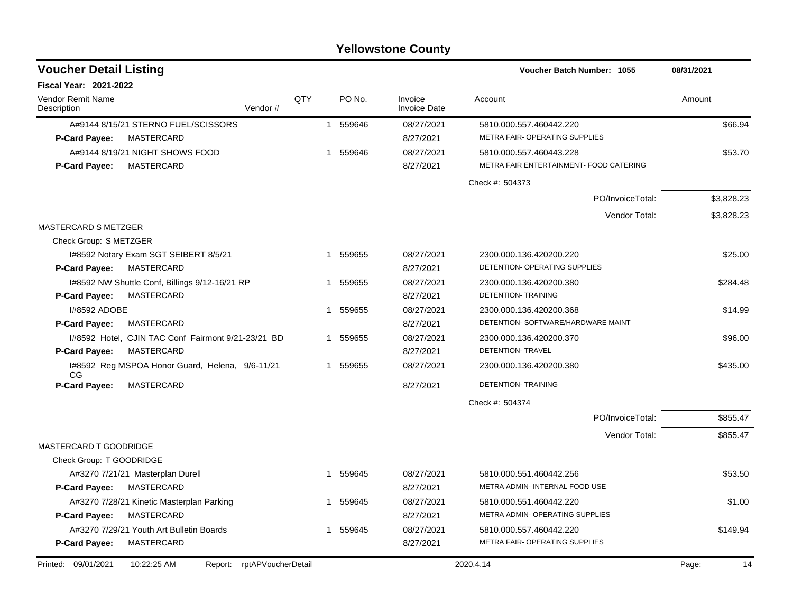| <b>Voucher Detail Listing</b>           |                                                    |                    |    |          |                                | <b>Voucher Batch Number: 1055</b>       | 08/31/2021  |
|-----------------------------------------|----------------------------------------------------|--------------------|----|----------|--------------------------------|-----------------------------------------|-------------|
| <b>Fiscal Year: 2021-2022</b>           |                                                    |                    |    |          |                                |                                         |             |
| <b>Vendor Remit Name</b><br>Description | Vendor#                                            | QTY                |    | PO No.   | Invoice<br><b>Invoice Date</b> | Account                                 | Amount      |
|                                         | A#9144 8/15/21 STERNO FUEL/SCISSORS                |                    |    | 1 559646 | 08/27/2021                     | 5810.000.557.460442.220                 | \$66.94     |
| <b>P-Card Payee:</b>                    | MASTERCARD                                         |                    |    |          | 8/27/2021                      | METRA FAIR- OPERATING SUPPLIES          |             |
| A#9144 8/19/21 NIGHT SHOWS FOOD         |                                                    |                    | 1  | 559646   | 08/27/2021                     | 5810.000.557.460443.228                 | \$53.70     |
| <b>P-Card Payee:</b>                    | MASTERCARD                                         |                    |    |          | 8/27/2021                      | METRA FAIR ENTERTAINMENT- FOOD CATERING |             |
|                                         |                                                    |                    |    |          |                                | Check #: 504373                         |             |
|                                         |                                                    |                    |    |          |                                | PO/InvoiceTotal:                        | \$3,828.23  |
|                                         |                                                    |                    |    |          |                                | Vendor Total:                           | \$3,828.23  |
| <b>MASTERCARD S METZGER</b>             |                                                    |                    |    |          |                                |                                         |             |
| Check Group: S METZGER                  |                                                    |                    |    |          |                                |                                         |             |
|                                         | 1#8592 Notary Exam SGT SEIBERT 8/5/21              |                    |    | 1 559655 | 08/27/2021                     | 2300.000.136.420200.220                 | \$25.00     |
| <b>P-Card Payee:</b>                    | <b>MASTERCARD</b>                                  |                    |    |          | 8/27/2021                      | DETENTION- OPERATING SUPPLIES           |             |
|                                         | I#8592 NW Shuttle Conf, Billings 9/12-16/21 RP     |                    | 1  | 559655   | 08/27/2021                     | 2300.000.136.420200.380                 | \$284.48    |
| <b>P-Card Payee:</b>                    | MASTERCARD                                         |                    |    |          | 8/27/2021                      | <b>DETENTION- TRAINING</b>              |             |
| <b>I#8592 ADOBE</b>                     |                                                    |                    | 1  | 559655   | 08/27/2021                     | 2300.000.136.420200.368                 | \$14.99     |
| <b>P-Card Payee:</b>                    | MASTERCARD                                         |                    |    |          | 8/27/2021                      | DETENTION- SOFTWARE/HARDWARE MAINT      |             |
|                                         | I#8592 Hotel, CJIN TAC Conf Fairmont 9/21-23/21 BD |                    | 1  | 559655   | 08/27/2021                     | 2300.000.136.420200.370                 | \$96.00     |
| <b>P-Card Payee:</b>                    | <b>MASTERCARD</b>                                  |                    |    |          | 8/27/2021                      | DETENTION- TRAVEL                       |             |
| CG.                                     | 1#8592 Reg MSPOA Honor Guard, Helena, 9/6-11/21    |                    | -1 | 559655   | 08/27/2021                     | 2300.000.136.420200.380                 | \$435.00    |
| <b>P-Card Payee:</b>                    | MASTERCARD                                         |                    |    |          | 8/27/2021                      | <b>DETENTION- TRAINING</b>              |             |
|                                         |                                                    |                    |    |          |                                | Check #: 504374                         |             |
|                                         |                                                    |                    |    |          |                                | PO/InvoiceTotal:                        | \$855.47    |
|                                         |                                                    |                    |    |          |                                | Vendor Total:                           | \$855.47    |
| MASTERCARD T GOODRIDGE                  |                                                    |                    |    |          |                                |                                         |             |
| Check Group: T GOODRIDGE                |                                                    |                    |    |          |                                |                                         |             |
| A#3270 7/21/21 Masterplan Durell        |                                                    |                    | -1 | 559645   | 08/27/2021                     | 5810.000.551.460442.256                 | \$53.50     |
| <b>P-Card Payee:</b>                    | MASTERCARD                                         |                    |    |          | 8/27/2021                      | METRA ADMIN- INTERNAL FOOD USE          |             |
|                                         | A#3270 7/28/21 Kinetic Masterplan Parking          |                    | -1 | 559645   | 08/27/2021                     | 5810.000.551.460442.220                 | \$1.00      |
| <b>P-Card Payee:</b>                    | MASTERCARD                                         |                    |    |          | 8/27/2021                      | METRA ADMIN- OPERATING SUPPLIES         |             |
|                                         | A#3270 7/29/21 Youth Art Bulletin Boards           |                    | 1  | 559645   | 08/27/2021                     | 5810.000.557.460442.220                 | \$149.94    |
| P-Card Payee:                           | MASTERCARD                                         |                    |    |          | 8/27/2021                      | METRA FAIR- OPERATING SUPPLIES          |             |
| Printed: 09/01/2021                     | 10:22:25 AM<br>Report:                             | rptAPVoucherDetail |    |          |                                | 2020.4.14                               | Page:<br>14 |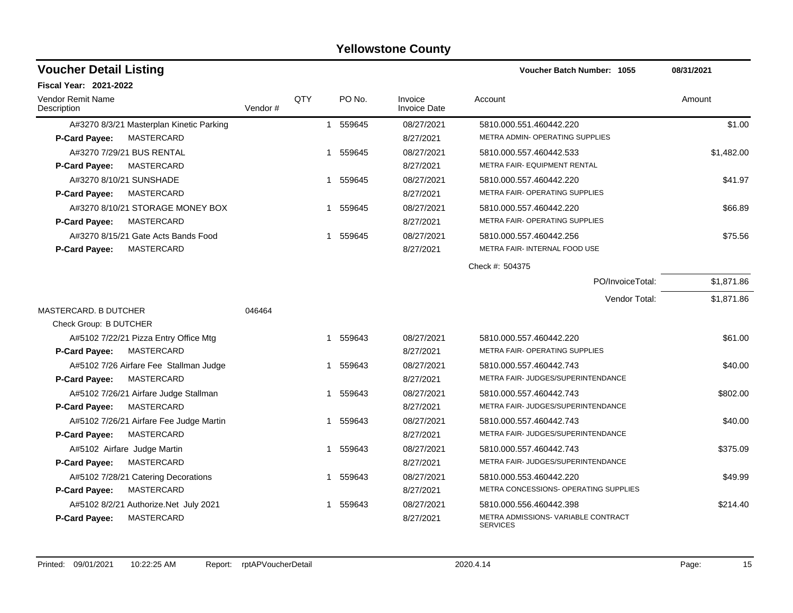| <b>Voucher Detail Listing</b>                                                       |         |            |                        |                                | Voucher Batch Number: 1055                                                               | 08/31/2021 |
|-------------------------------------------------------------------------------------|---------|------------|------------------------|--------------------------------|------------------------------------------------------------------------------------------|------------|
| <b>Fiscal Year: 2021-2022</b>                                                       |         |            |                        |                                |                                                                                          |            |
| Vendor Remit Name<br>Description                                                    | Vendor# | <b>QTY</b> | PO No.                 | Invoice<br><b>Invoice Date</b> | Account                                                                                  | Amount     |
| A#3270 8/3/21 Masterplan Kinetic Parking<br>MASTERCARD<br><b>P-Card Payee:</b>      |         |            | 1 559645               | 08/27/2021<br>8/27/2021        | 5810.000.551.460442.220<br><b>METRA ADMIN- OPERATING SUPPLIES</b>                        | \$1.00     |
| A#3270 7/29/21 BUS RENTAL<br><b>MASTERCARD</b><br><b>P-Card Payee:</b>              |         |            | 1 559645               | 08/27/2021<br>8/27/2021        | 5810.000.557.460442.533<br>METRA FAIR- EQUIPMENT RENTAL                                  | \$1,482.00 |
| A#3270 8/10/21 SUNSHADE<br><b>MASTERCARD</b><br><b>P-Card Payee:</b>                |         |            | 1 559645               | 08/27/2021<br>8/27/2021        | 5810.000.557.460442.220<br>METRA FAIR- OPERATING SUPPLIES                                | \$41.97    |
| A#3270 8/10/21 STORAGE MONEY BOX<br>P-Card Payee:<br>MASTERCARD                     |         |            | 559645<br>1            | 08/27/2021<br>8/27/2021        | 5810.000.557.460442.220<br>METRA FAIR- OPERATING SUPPLIES                                | \$66.89    |
| A#3270 8/15/21 Gate Acts Bands Food<br>MASTERCARD<br><b>P-Card Payee:</b>           |         |            | 559645<br>1            | 08/27/2021<br>8/27/2021        | 5810.000.557.460442.256<br>METRA FAIR- INTERNAL FOOD USE                                 | \$75.56    |
|                                                                                     |         |            |                        |                                | Check #: 504375                                                                          |            |
|                                                                                     |         |            |                        |                                | PO/InvoiceTotal:                                                                         | \$1,871.86 |
| MASTERCARD, B DUTCHER                                                               | 046464  |            |                        |                                | Vendor Total:                                                                            | \$1,871.86 |
| Check Group: B DUTCHER                                                              |         |            |                        |                                |                                                                                          |            |
| A#5102 7/22/21 Pizza Entry Office Mtg<br>MASTERCARD<br><b>P-Card Payee:</b>         |         |            | 559643<br>$\mathbf{1}$ | 08/27/2021<br>8/27/2021        | 5810.000.557.460442.220<br>METRA FAIR- OPERATING SUPPLIES                                | \$61.00    |
| A#5102 7/26 Airfare Fee Stallman Judge<br><b>MASTERCARD</b><br><b>P-Card Payee:</b> |         |            | 559643<br>1            | 08/27/2021<br>8/27/2021        | 5810.000.557.460442.743<br>METRA FAIR- JUDGES/SUPERINTENDANCE                            | \$40.00    |
| A#5102 7/26/21 Airfare Judge Stallman<br>P-Card Payee:<br>MASTERCARD                |         |            | 559643<br>1            | 08/27/2021<br>8/27/2021        | 5810.000.557.460442.743<br>METRA FAIR- JUDGES/SUPERINTENDANCE                            | \$802.00   |
| A#5102 7/26/21 Airfare Fee Judge Martin<br><b>P-Card Payee:</b><br>MASTERCARD       |         |            | 1 559643               | 08/27/2021<br>8/27/2021        | 5810.000.557.460442.743<br><b>METRA FAIR- JUDGES/SUPERINTENDANCE</b>                     | \$40.00    |
| A#5102 Airfare Judge Martin<br><b>MASTERCARD</b><br><b>P-Card Payee:</b>            |         |            | 559643<br>$\mathbf{1}$ | 08/27/2021<br>8/27/2021        | 5810.000.557.460442.743<br>METRA FAIR- JUDGES/SUPERINTENDANCE                            | \$375.09   |
| A#5102 7/28/21 Catering Decorations<br>MASTERCARD<br><b>P-Card Payee:</b>           |         |            | 1 559643               | 08/27/2021<br>8/27/2021        | 5810.000.553.460442.220<br>METRA CONCESSIONS- OPERATING SUPPLIES                         | \$49.99    |
| A#5102 8/2/21 Authorize. Net July 2021<br>MASTERCARD<br><b>P-Card Payee:</b>        |         |            | 1 559643               | 08/27/2021<br>8/27/2021        | 5810.000.556.460442.398<br><b>METRA ADMISSIONS- VARIABLE CONTRACT</b><br><b>SERVICES</b> | \$214.40   |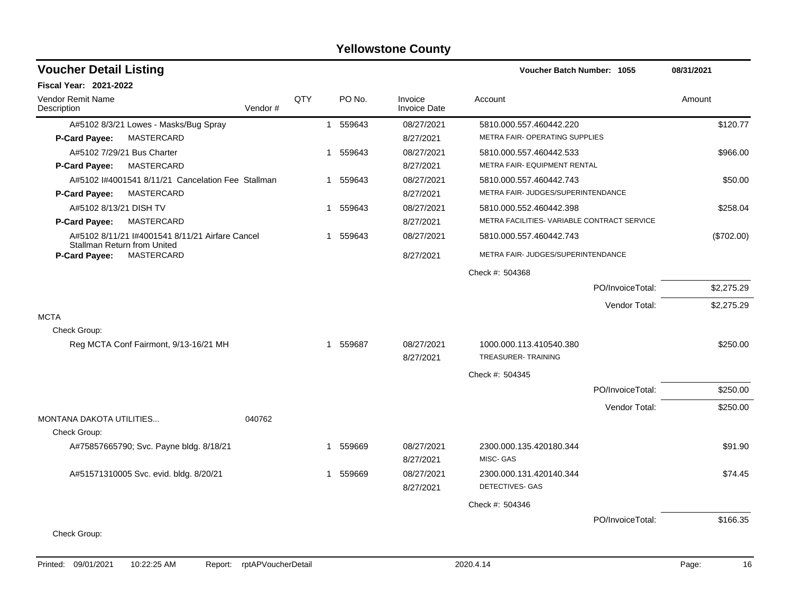| QTY<br>PO No.<br>Invoice<br>Vendor Remit Name<br>Account<br>Amount<br>Vendor#<br><b>Invoice Date</b><br>Description<br>08/27/2021<br>\$120.77<br>A#5102 8/3/21 Lowes - Masks/Bug Spray<br>1 559643<br>5810.000.557.460442.220<br><b>MASTERCARD</b><br>METRA FAIR- OPERATING SUPPLIES<br>P-Card Payee:<br>8/27/2021<br>A#5102 7/29/21 Bus Charter<br>559643<br>08/27/2021<br>5810.000.557.460442.533<br>\$966.00<br>1<br>METRA FAIR- EQUIPMENT RENTAL<br>MASTERCARD<br>P-Card Payee:<br>8/27/2021<br>A#5102 I#4001541 8/11/21 Cancelation Fee Stallman<br>559643<br>08/27/2021<br>5810.000.557.460442.743<br>\$50.00<br>1<br>METRA FAIR- JUDGES/SUPERINTENDANCE<br>MASTERCARD<br>P-Card Payee:<br>8/27/2021<br>A#5102 8/13/21 DISH TV<br>1 559643<br>08/27/2021<br>5810.000.552.460442.398<br>\$258.04<br>METRA FACILITIES- VARIABLE CONTRACT SERVICE<br>MASTERCARD<br>P-Card Payee:<br>8/27/2021<br>A#5102 8/11/21 l#4001541 8/11/21 Airfare Cancel<br>559643<br>08/27/2021<br>5810.000.557.460442.743<br>(\$702.00)<br>1<br><b>Stallman Return from United</b><br>P-Card Payee:<br>MASTERCARD<br>8/27/2021<br>METRA FAIR- JUDGES/SUPERINTENDANCE<br>Check #: 504368<br>PO/InvoiceTotal:<br>\$2,275.29<br>Vendor Total:<br>\$2,275.29<br>Check Group:<br>Reg MCTA Conf Fairmont, 9/13-16/21 MH<br>1 559687<br>08/27/2021<br>1000.000.113.410540.380<br>\$250.00<br><b>TREASURER-TRAINING</b><br>8/27/2021<br>Check #: 504345<br>\$250.00<br>PO/InvoiceTotal:<br>Vendor Total:<br>\$250.00<br>040762<br>Check Group:<br>A#75857665790; Svc. Payne bldg. 8/18/21<br>559669<br>08/27/2021<br>2300.000.135.420180.344<br>\$91.90<br>1<br>MISC- GAS<br>8/27/2021<br>A#51571310005 Svc. evid. bldg. 8/20/21<br>559669<br>08/27/2021<br>2300.000.131.420140.344<br>\$74.45<br>1<br>DETECTIVES- GAS<br>8/27/2021<br>Check #: 504346<br>PO/InvoiceTotal:<br>\$166.35<br>Check Group: | <b>Voucher Detail Listing</b>   |  |  | Voucher Batch Number: 1055 | 08/31/2021 |
|-----------------------------------------------------------------------------------------------------------------------------------------------------------------------------------------------------------------------------------------------------------------------------------------------------------------------------------------------------------------------------------------------------------------------------------------------------------------------------------------------------------------------------------------------------------------------------------------------------------------------------------------------------------------------------------------------------------------------------------------------------------------------------------------------------------------------------------------------------------------------------------------------------------------------------------------------------------------------------------------------------------------------------------------------------------------------------------------------------------------------------------------------------------------------------------------------------------------------------------------------------------------------------------------------------------------------------------------------------------------------------------------------------------------------------------------------------------------------------------------------------------------------------------------------------------------------------------------------------------------------------------------------------------------------------------------------------------------------------------------------------------------------------------------------------------------------------------------------------------------------------|---------------------------------|--|--|----------------------------|------------|
|                                                                                                                                                                                                                                                                                                                                                                                                                                                                                                                                                                                                                                                                                                                                                                                                                                                                                                                                                                                                                                                                                                                                                                                                                                                                                                                                                                                                                                                                                                                                                                                                                                                                                                                                                                                                                                                                             | <b>Fiscal Year: 2021-2022</b>   |  |  |                            |            |
|                                                                                                                                                                                                                                                                                                                                                                                                                                                                                                                                                                                                                                                                                                                                                                                                                                                                                                                                                                                                                                                                                                                                                                                                                                                                                                                                                                                                                                                                                                                                                                                                                                                                                                                                                                                                                                                                             |                                 |  |  |                            |            |
|                                                                                                                                                                                                                                                                                                                                                                                                                                                                                                                                                                                                                                                                                                                                                                                                                                                                                                                                                                                                                                                                                                                                                                                                                                                                                                                                                                                                                                                                                                                                                                                                                                                                                                                                                                                                                                                                             |                                 |  |  |                            |            |
|                                                                                                                                                                                                                                                                                                                                                                                                                                                                                                                                                                                                                                                                                                                                                                                                                                                                                                                                                                                                                                                                                                                                                                                                                                                                                                                                                                                                                                                                                                                                                                                                                                                                                                                                                                                                                                                                             |                                 |  |  |                            |            |
|                                                                                                                                                                                                                                                                                                                                                                                                                                                                                                                                                                                                                                                                                                                                                                                                                                                                                                                                                                                                                                                                                                                                                                                                                                                                                                                                                                                                                                                                                                                                                                                                                                                                                                                                                                                                                                                                             |                                 |  |  |                            |            |
|                                                                                                                                                                                                                                                                                                                                                                                                                                                                                                                                                                                                                                                                                                                                                                                                                                                                                                                                                                                                                                                                                                                                                                                                                                                                                                                                                                                                                                                                                                                                                                                                                                                                                                                                                                                                                                                                             |                                 |  |  |                            |            |
|                                                                                                                                                                                                                                                                                                                                                                                                                                                                                                                                                                                                                                                                                                                                                                                                                                                                                                                                                                                                                                                                                                                                                                                                                                                                                                                                                                                                                                                                                                                                                                                                                                                                                                                                                                                                                                                                             |                                 |  |  |                            |            |
|                                                                                                                                                                                                                                                                                                                                                                                                                                                                                                                                                                                                                                                                                                                                                                                                                                                                                                                                                                                                                                                                                                                                                                                                                                                                                                                                                                                                                                                                                                                                                                                                                                                                                                                                                                                                                                                                             |                                 |  |  |                            |            |
|                                                                                                                                                                                                                                                                                                                                                                                                                                                                                                                                                                                                                                                                                                                                                                                                                                                                                                                                                                                                                                                                                                                                                                                                                                                                                                                                                                                                                                                                                                                                                                                                                                                                                                                                                                                                                                                                             |                                 |  |  |                            |            |
|                                                                                                                                                                                                                                                                                                                                                                                                                                                                                                                                                                                                                                                                                                                                                                                                                                                                                                                                                                                                                                                                                                                                                                                                                                                                                                                                                                                                                                                                                                                                                                                                                                                                                                                                                                                                                                                                             |                                 |  |  |                            |            |
|                                                                                                                                                                                                                                                                                                                                                                                                                                                                                                                                                                                                                                                                                                                                                                                                                                                                                                                                                                                                                                                                                                                                                                                                                                                                                                                                                                                                                                                                                                                                                                                                                                                                                                                                                                                                                                                                             |                                 |  |  |                            |            |
|                                                                                                                                                                                                                                                                                                                                                                                                                                                                                                                                                                                                                                                                                                                                                                                                                                                                                                                                                                                                                                                                                                                                                                                                                                                                                                                                                                                                                                                                                                                                                                                                                                                                                                                                                                                                                                                                             |                                 |  |  |                            |            |
|                                                                                                                                                                                                                                                                                                                                                                                                                                                                                                                                                                                                                                                                                                                                                                                                                                                                                                                                                                                                                                                                                                                                                                                                                                                                                                                                                                                                                                                                                                                                                                                                                                                                                                                                                                                                                                                                             |                                 |  |  |                            |            |
|                                                                                                                                                                                                                                                                                                                                                                                                                                                                                                                                                                                                                                                                                                                                                                                                                                                                                                                                                                                                                                                                                                                                                                                                                                                                                                                                                                                                                                                                                                                                                                                                                                                                                                                                                                                                                                                                             |                                 |  |  |                            |            |
|                                                                                                                                                                                                                                                                                                                                                                                                                                                                                                                                                                                                                                                                                                                                                                                                                                                                                                                                                                                                                                                                                                                                                                                                                                                                                                                                                                                                                                                                                                                                                                                                                                                                                                                                                                                                                                                                             |                                 |  |  |                            |            |
|                                                                                                                                                                                                                                                                                                                                                                                                                                                                                                                                                                                                                                                                                                                                                                                                                                                                                                                                                                                                                                                                                                                                                                                                                                                                                                                                                                                                                                                                                                                                                                                                                                                                                                                                                                                                                                                                             | <b>MCTA</b>                     |  |  |                            |            |
|                                                                                                                                                                                                                                                                                                                                                                                                                                                                                                                                                                                                                                                                                                                                                                                                                                                                                                                                                                                                                                                                                                                                                                                                                                                                                                                                                                                                                                                                                                                                                                                                                                                                                                                                                                                                                                                                             |                                 |  |  |                            |            |
|                                                                                                                                                                                                                                                                                                                                                                                                                                                                                                                                                                                                                                                                                                                                                                                                                                                                                                                                                                                                                                                                                                                                                                                                                                                                                                                                                                                                                                                                                                                                                                                                                                                                                                                                                                                                                                                                             |                                 |  |  |                            |            |
|                                                                                                                                                                                                                                                                                                                                                                                                                                                                                                                                                                                                                                                                                                                                                                                                                                                                                                                                                                                                                                                                                                                                                                                                                                                                                                                                                                                                                                                                                                                                                                                                                                                                                                                                                                                                                                                                             |                                 |  |  |                            |            |
|                                                                                                                                                                                                                                                                                                                                                                                                                                                                                                                                                                                                                                                                                                                                                                                                                                                                                                                                                                                                                                                                                                                                                                                                                                                                                                                                                                                                                                                                                                                                                                                                                                                                                                                                                                                                                                                                             |                                 |  |  |                            |            |
|                                                                                                                                                                                                                                                                                                                                                                                                                                                                                                                                                                                                                                                                                                                                                                                                                                                                                                                                                                                                                                                                                                                                                                                                                                                                                                                                                                                                                                                                                                                                                                                                                                                                                                                                                                                                                                                                             |                                 |  |  |                            |            |
|                                                                                                                                                                                                                                                                                                                                                                                                                                                                                                                                                                                                                                                                                                                                                                                                                                                                                                                                                                                                                                                                                                                                                                                                                                                                                                                                                                                                                                                                                                                                                                                                                                                                                                                                                                                                                                                                             |                                 |  |  |                            |            |
|                                                                                                                                                                                                                                                                                                                                                                                                                                                                                                                                                                                                                                                                                                                                                                                                                                                                                                                                                                                                                                                                                                                                                                                                                                                                                                                                                                                                                                                                                                                                                                                                                                                                                                                                                                                                                                                                             | <b>MONTANA DAKOTA UTILITIES</b> |  |  |                            |            |
|                                                                                                                                                                                                                                                                                                                                                                                                                                                                                                                                                                                                                                                                                                                                                                                                                                                                                                                                                                                                                                                                                                                                                                                                                                                                                                                                                                                                                                                                                                                                                                                                                                                                                                                                                                                                                                                                             |                                 |  |  |                            |            |
|                                                                                                                                                                                                                                                                                                                                                                                                                                                                                                                                                                                                                                                                                                                                                                                                                                                                                                                                                                                                                                                                                                                                                                                                                                                                                                                                                                                                                                                                                                                                                                                                                                                                                                                                                                                                                                                                             |                                 |  |  |                            |            |
|                                                                                                                                                                                                                                                                                                                                                                                                                                                                                                                                                                                                                                                                                                                                                                                                                                                                                                                                                                                                                                                                                                                                                                                                                                                                                                                                                                                                                                                                                                                                                                                                                                                                                                                                                                                                                                                                             |                                 |  |  |                            |            |
|                                                                                                                                                                                                                                                                                                                                                                                                                                                                                                                                                                                                                                                                                                                                                                                                                                                                                                                                                                                                                                                                                                                                                                                                                                                                                                                                                                                                                                                                                                                                                                                                                                                                                                                                                                                                                                                                             |                                 |  |  |                            |            |
|                                                                                                                                                                                                                                                                                                                                                                                                                                                                                                                                                                                                                                                                                                                                                                                                                                                                                                                                                                                                                                                                                                                                                                                                                                                                                                                                                                                                                                                                                                                                                                                                                                                                                                                                                                                                                                                                             |                                 |  |  |                            |            |
|                                                                                                                                                                                                                                                                                                                                                                                                                                                                                                                                                                                                                                                                                                                                                                                                                                                                                                                                                                                                                                                                                                                                                                                                                                                                                                                                                                                                                                                                                                                                                                                                                                                                                                                                                                                                                                                                             |                                 |  |  |                            |            |
|                                                                                                                                                                                                                                                                                                                                                                                                                                                                                                                                                                                                                                                                                                                                                                                                                                                                                                                                                                                                                                                                                                                                                                                                                                                                                                                                                                                                                                                                                                                                                                                                                                                                                                                                                                                                                                                                             |                                 |  |  |                            |            |
|                                                                                                                                                                                                                                                                                                                                                                                                                                                                                                                                                                                                                                                                                                                                                                                                                                                                                                                                                                                                                                                                                                                                                                                                                                                                                                                                                                                                                                                                                                                                                                                                                                                                                                                                                                                                                                                                             |                                 |  |  |                            |            |
|                                                                                                                                                                                                                                                                                                                                                                                                                                                                                                                                                                                                                                                                                                                                                                                                                                                                                                                                                                                                                                                                                                                                                                                                                                                                                                                                                                                                                                                                                                                                                                                                                                                                                                                                                                                                                                                                             |                                 |  |  |                            |            |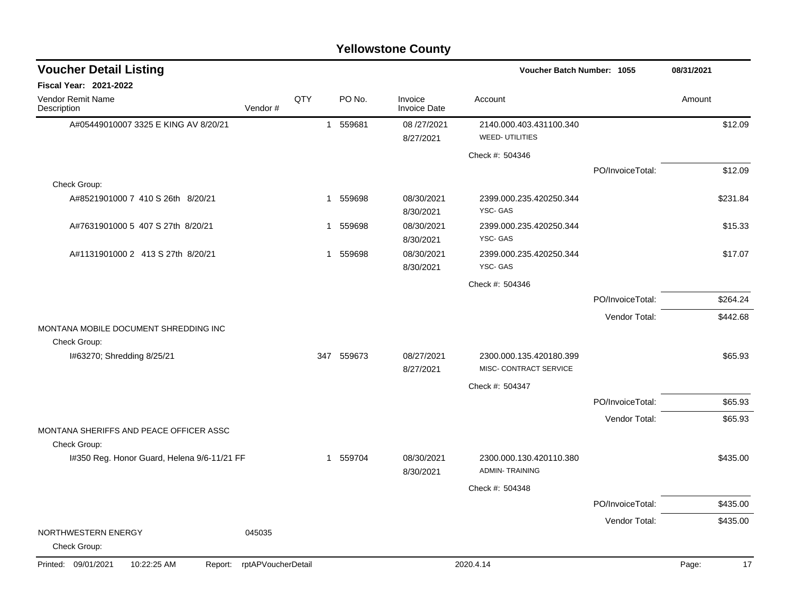|                                                         |                    |              |            | i viivnolviiv Vvuily           |                                                   |                  |             |
|---------------------------------------------------------|--------------------|--------------|------------|--------------------------------|---------------------------------------------------|------------------|-------------|
| <b>Voucher Detail Listing</b>                           |                    |              |            |                                | Voucher Batch Number: 1055                        |                  | 08/31/2021  |
| Fiscal Year: 2021-2022                                  |                    |              |            |                                |                                                   |                  |             |
| Vendor Remit Name<br>Description                        | Vendor#            | QTY          | PO No.     | Invoice<br><b>Invoice Date</b> | Account                                           |                  | Amount      |
| A#05449010007 3325 E KING AV 8/20/21                    |                    | $\mathbf{1}$ | 559681     | 08 /27/2021<br>8/27/2021       | 2140.000.403.431100.340<br><b>WEED-UTILITIES</b>  |                  | \$12.09     |
|                                                         |                    |              |            |                                | Check #: 504346                                   |                  |             |
|                                                         |                    |              |            |                                |                                                   | PO/InvoiceTotal: | \$12.09     |
| Check Group:                                            |                    |              |            |                                |                                                   |                  |             |
| A#8521901000 7 410 S 26th 8/20/21                       |                    |              | 1 559698   | 08/30/2021<br>8/30/2021        | 2399.000.235.420250.344<br>YSC-GAS                |                  | \$231.84    |
| A#7631901000 5 407 S 27th 8/20/21                       |                    |              | 1 559698   | 08/30/2021<br>8/30/2021        | 2399.000.235.420250.344<br>YSC-GAS                |                  | \$15.33     |
| A#1131901000 2 413 S 27th 8/20/21                       |                    |              | 1 559698   | 08/30/2021<br>8/30/2021        | 2399.000.235.420250.344<br>YSC-GAS                |                  | \$17.07     |
|                                                         |                    |              |            |                                | Check #: 504346                                   |                  |             |
|                                                         |                    |              |            |                                |                                                   | PO/InvoiceTotal: | \$264.24    |
|                                                         |                    |              |            |                                |                                                   | Vendor Total:    | \$442.68    |
| MONTANA MOBILE DOCUMENT SHREDDING INC                   |                    |              |            |                                |                                                   |                  |             |
| Check Group:                                            |                    |              |            |                                |                                                   |                  |             |
| I#63270; Shredding 8/25/21                              |                    |              | 347 559673 | 08/27/2021<br>8/27/2021        | 2300.000.135.420180.399<br>MISC- CONTRACT SERVICE |                  | \$65.93     |
|                                                         |                    |              |            |                                | Check #: 504347                                   |                  |             |
|                                                         |                    |              |            |                                |                                                   | PO/InvoiceTotal: | \$65.93     |
|                                                         |                    |              |            |                                |                                                   | Vendor Total:    | \$65.93     |
| MONTANA SHERIFFS AND PEACE OFFICER ASSC<br>Check Group: |                    |              |            |                                |                                                   |                  |             |
| I#350 Reg. Honor Guard, Helena 9/6-11/21 FF             |                    |              | 1 559704   | 08/30/2021<br>8/30/2021        | 2300.000.130.420110.380<br><b>ADMIN-TRAINING</b>  |                  | \$435.00    |
|                                                         |                    |              |            |                                | Check #: 504348                                   |                  |             |
|                                                         |                    |              |            |                                |                                                   | PO/InvoiceTotal: | \$435.00    |
|                                                         |                    |              |            |                                |                                                   | Vendor Total:    | \$435.00    |
| NORTHWESTERN ENERGY<br>Check Group:                     | 045035             |              |            |                                |                                                   |                  |             |
| Printed: 09/01/2021<br>10:22:25 AM<br>Report:           | rptAPVoucherDetail |              |            |                                | 2020.4.14                                         |                  | 17<br>Page: |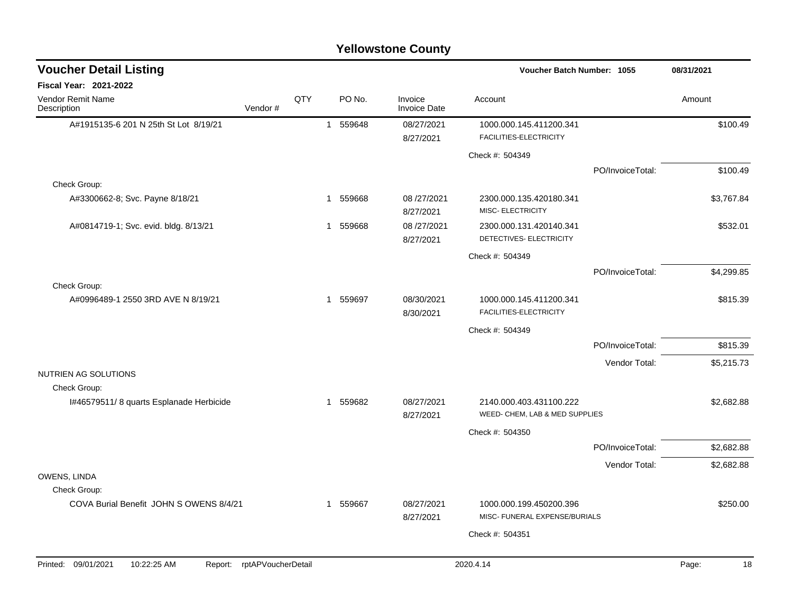| <b>Voucher Detail Listing</b>                 |                    |     |             | Voucher Batch Number: 1055     | 08/31/2021                                                |                  |             |
|-----------------------------------------------|--------------------|-----|-------------|--------------------------------|-----------------------------------------------------------|------------------|-------------|
| Fiscal Year: 2021-2022                        |                    |     |             |                                |                                                           |                  |             |
| Vendor Remit Name<br>Description              | Vendor#            | QTY | PO No.      | Invoice<br><b>Invoice Date</b> | Account                                                   |                  | Amount      |
| A#1915135-6 201 N 25th St Lot 8/19/21         |                    |     | 1 559648    | 08/27/2021<br>8/27/2021        | 1000.000.145.411200.341<br>FACILITIES-ELECTRICITY         |                  | \$100.49    |
|                                               |                    |     |             |                                | Check #: 504349                                           |                  |             |
|                                               |                    |     |             |                                |                                                           | PO/InvoiceTotal: | \$100.49    |
| Check Group:                                  |                    |     |             |                                |                                                           |                  |             |
| A#3300662-8; Svc. Payne 8/18/21               |                    |     | 559668<br>1 | 08 /27/2021<br>8/27/2021       | 2300.000.135.420180.341<br>MISC- ELECTRICITY              |                  | \$3,767.84  |
| A#0814719-1; Svc. evid. bldg. 8/13/21         |                    |     | 559668<br>1 | 08/27/2021<br>8/27/2021        | 2300.000.131.420140.341<br>DETECTIVES- ELECTRICITY        |                  | \$532.01    |
|                                               |                    |     |             |                                | Check #: 504349                                           |                  |             |
|                                               |                    |     |             |                                |                                                           | PO/InvoiceTotal: | \$4,299.85  |
| Check Group:                                  |                    |     |             |                                |                                                           |                  |             |
| A#0996489-1 2550 3RD AVE N 8/19/21            |                    |     | 1 559697    | 08/30/2021<br>8/30/2021        | 1000.000.145.411200.341<br>FACILITIES-ELECTRICITY         |                  | \$815.39    |
|                                               |                    |     |             |                                | Check #: 504349                                           |                  |             |
|                                               |                    |     |             |                                |                                                           | PO/InvoiceTotal: | \$815.39    |
|                                               |                    |     |             |                                |                                                           | Vendor Total:    | \$5,215.73  |
| NUTRIEN AG SOLUTIONS                          |                    |     |             |                                |                                                           |                  |             |
| Check Group:                                  |                    |     |             |                                |                                                           |                  |             |
| I#46579511/8 quarts Esplanade Herbicide       |                    | 1   | 559682      | 08/27/2021<br>8/27/2021        | 2140.000.403.431100.222<br>WEED- CHEM, LAB & MED SUPPLIES |                  | \$2,682.88  |
|                                               |                    |     |             |                                | Check #: 504350                                           |                  |             |
|                                               |                    |     |             |                                |                                                           | PO/InvoiceTotal: | \$2,682.88  |
|                                               |                    |     |             |                                |                                                           | Vendor Total:    | \$2,682.88  |
| OWENS, LINDA                                  |                    |     |             |                                |                                                           |                  |             |
| Check Group:                                  |                    |     |             |                                |                                                           |                  |             |
| COVA Burial Benefit JOHN S OWENS 8/4/21       |                    |     | 1 559667    | 08/27/2021<br>8/27/2021        | 1000.000.199.450200.396<br>MISC- FUNERAL EXPENSE/BURIALS  |                  | \$250.00    |
|                                               |                    |     |             |                                | Check #: 504351                                           |                  |             |
|                                               |                    |     |             |                                |                                                           |                  |             |
| Printed: 09/01/2021<br>10:22:25 AM<br>Report: | rptAPVoucherDetail |     |             |                                | 2020.4.14                                                 |                  | Page:<br>18 |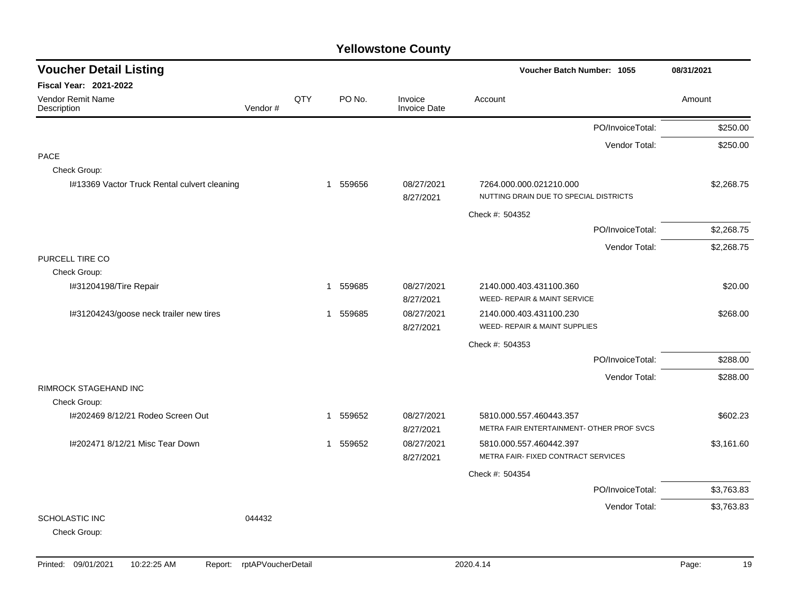| <b>Voucher Detail Listing</b>                |         |     |                        |                                | Voucher Batch Number: 1055                                          | 08/31/2021 |
|----------------------------------------------|---------|-----|------------------------|--------------------------------|---------------------------------------------------------------------|------------|
| <b>Fiscal Year: 2021-2022</b>                |         |     |                        |                                |                                                                     |            |
| Vendor Remit Name<br>Description             | Vendor# | QTY | PO No.                 | Invoice<br><b>Invoice Date</b> | Account                                                             | Amount     |
|                                              |         |     |                        |                                | PO/InvoiceTotal:                                                    | \$250.00   |
|                                              |         |     |                        |                                | Vendor Total:                                                       | \$250.00   |
| <b>PACE</b>                                  |         |     |                        |                                |                                                                     |            |
| Check Group:                                 |         |     |                        |                                |                                                                     |            |
| I#13369 Vactor Truck Rental culvert cleaning |         |     | 1 559656               | 08/27/2021<br>8/27/2021        | 7264.000.000.021210.000<br>NUTTING DRAIN DUE TO SPECIAL DISTRICTS   | \$2,268.75 |
|                                              |         |     |                        |                                | Check #: 504352                                                     |            |
|                                              |         |     |                        |                                | PO/InvoiceTotal:                                                    | \$2,268.75 |
|                                              |         |     |                        |                                | Vendor Total:                                                       | \$2,268.75 |
| PURCELL TIRE CO                              |         |     |                        |                                |                                                                     |            |
| Check Group:                                 |         |     |                        |                                |                                                                     |            |
| I#31204198/Tire Repair                       |         |     | 559685<br>$\mathbf 1$  | 08/27/2021                     | 2140.000.403.431100.360                                             | \$20.00    |
|                                              |         |     |                        | 8/27/2021                      | WEED- REPAIR & MAINT SERVICE                                        |            |
| I#31204243/goose neck trailer new tires      |         |     | 559685<br>$\mathbf 1$  | 08/27/2021<br>8/27/2021        | 2140.000.403.431100.230<br><b>WEED- REPAIR &amp; MAINT SUPPLIES</b> | \$268.00   |
|                                              |         |     |                        |                                | Check #: 504353                                                     |            |
|                                              |         |     |                        |                                | PO/InvoiceTotal:                                                    | \$288.00   |
|                                              |         |     |                        |                                | Vendor Total:                                                       | \$288.00   |
| RIMROCK STAGEHAND INC                        |         |     |                        |                                |                                                                     |            |
| Check Group:                                 |         |     |                        |                                |                                                                     |            |
| I#202469 8/12/21 Rodeo Screen Out            |         |     | 1 559652               | 08/27/2021                     | 5810.000.557.460443.357                                             | \$602.23   |
|                                              |         |     |                        | 8/27/2021                      | METRA FAIR ENTERTAINMENT- OTHER PROF SVCS                           |            |
| I#202471 8/12/21 Misc Tear Down              |         |     | 559652<br>$\mathbf{1}$ | 08/27/2021                     | 5810.000.557.460442.397                                             | \$3,161.60 |
|                                              |         |     |                        | 8/27/2021                      | METRA FAIR- FIXED CONTRACT SERVICES                                 |            |
|                                              |         |     |                        |                                | Check #: 504354                                                     |            |
|                                              |         |     |                        |                                | PO/InvoiceTotal:                                                    | \$3,763.83 |
|                                              |         |     |                        |                                | Vendor Total:                                                       | \$3,763.83 |
| <b>SCHOLASTIC INC</b>                        | 044432  |     |                        |                                |                                                                     |            |
| Check Group:                                 |         |     |                        |                                |                                                                     |            |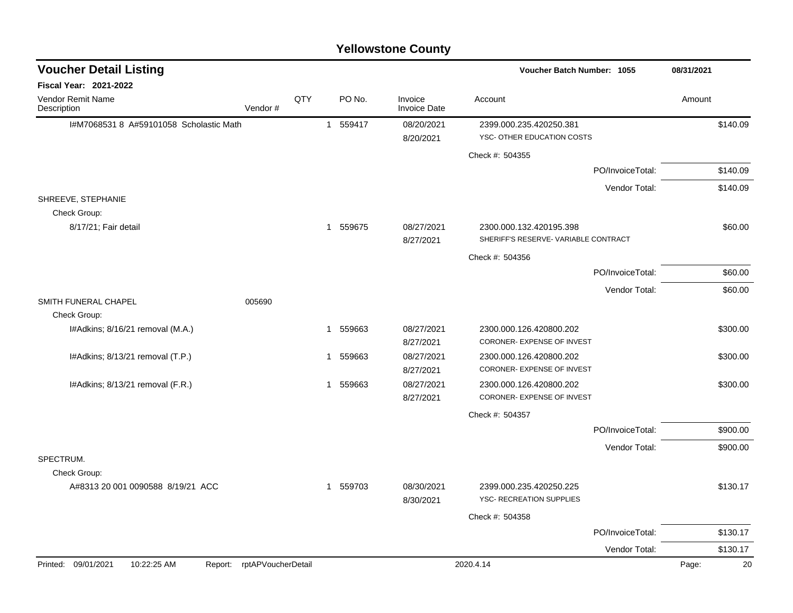| <b>Voucher Detail Listing</b><br>08/31/2021<br><b>Voucher Batch Number: 1055</b><br><b>Fiscal Year: 2021-2022</b><br>QTY<br>PO No.<br><b>Vendor Remit Name</b><br>Invoice<br>Account<br>Amount<br><b>Invoice Date</b><br>Description<br>Vendor#<br>I#M7068531 8 A#59101058 Scholastic Math<br>1 559417<br>08/20/2021<br>2399.000.235.420250.381<br>\$140.09<br>YSC- OTHER EDUCATION COSTS<br>8/20/2021<br>Check #: 504355<br>\$140.09<br>PO/InvoiceTotal:<br>Vendor Total:<br>\$140.09<br>SHREEVE, STEPHANIE<br>Check Group:<br>8/17/21; Fair detail<br>1 559675<br>08/27/2021<br>\$60.00<br>2300.000.132.420195.398<br>SHERIFF'S RESERVE- VARIABLE CONTRACT<br>8/27/2021<br>Check #: 504356<br>PO/InvoiceTotal:<br>\$60.00<br>\$60.00<br>Vendor Total:<br>SMITH FUNERAL CHAPEL<br>005690<br>Check Group:<br>I#Adkins; 8/16/21 removal (M.A.)<br>559663<br>08/27/2021<br>2300.000.126.420800.202<br>\$300.00<br>$\mathbf{1}$<br>CORONER- EXPENSE OF INVEST<br>8/27/2021<br>I#Adkins; 8/13/21 removal (T.P.)<br>559663<br>08/27/2021<br>2300.000.126.420800.202<br>\$300.00<br>1<br>CORONER- EXPENSE OF INVEST<br>8/27/2021<br>I#Adkins; 8/13/21 removal (F.R.)<br>559663<br>08/27/2021<br>\$300.00<br>2300.000.126.420800.202<br>$\mathbf{1}$<br>CORONER- EXPENSE OF INVEST<br>8/27/2021<br>Check #: 504357<br>PO/InvoiceTotal:<br>\$900.00<br>\$900.00<br>Vendor Total:<br>SPECTRUM.<br>Check Group:<br>A#8313 20 001 0090588 8/19/21 ACC<br>1 559703<br>08/30/2021<br>2399.000.235.420250.225<br>\$130.17<br><b>YSC- RECREATION SUPPLIES</b><br>8/30/2021<br>Check #: 504358<br>PO/InvoiceTotal:<br>\$130.17 |  |  |  | <b>Tellowstone County</b> |               |  |
|----------------------------------------------------------------------------------------------------------------------------------------------------------------------------------------------------------------------------------------------------------------------------------------------------------------------------------------------------------------------------------------------------------------------------------------------------------------------------------------------------------------------------------------------------------------------------------------------------------------------------------------------------------------------------------------------------------------------------------------------------------------------------------------------------------------------------------------------------------------------------------------------------------------------------------------------------------------------------------------------------------------------------------------------------------------------------------------------------------------------------------------------------------------------------------------------------------------------------------------------------------------------------------------------------------------------------------------------------------------------------------------------------------------------------------------------------------------------------------------------------------------------------------------------------------------------------------------------------------------|--|--|--|---------------------------|---------------|--|
|                                                                                                                                                                                                                                                                                                                                                                                                                                                                                                                                                                                                                                                                                                                                                                                                                                                                                                                                                                                                                                                                                                                                                                                                                                                                                                                                                                                                                                                                                                                                                                                                                |  |  |  |                           |               |  |
|                                                                                                                                                                                                                                                                                                                                                                                                                                                                                                                                                                                                                                                                                                                                                                                                                                                                                                                                                                                                                                                                                                                                                                                                                                                                                                                                                                                                                                                                                                                                                                                                                |  |  |  |                           |               |  |
|                                                                                                                                                                                                                                                                                                                                                                                                                                                                                                                                                                                                                                                                                                                                                                                                                                                                                                                                                                                                                                                                                                                                                                                                                                                                                                                                                                                                                                                                                                                                                                                                                |  |  |  |                           |               |  |
|                                                                                                                                                                                                                                                                                                                                                                                                                                                                                                                                                                                                                                                                                                                                                                                                                                                                                                                                                                                                                                                                                                                                                                                                                                                                                                                                                                                                                                                                                                                                                                                                                |  |  |  |                           |               |  |
|                                                                                                                                                                                                                                                                                                                                                                                                                                                                                                                                                                                                                                                                                                                                                                                                                                                                                                                                                                                                                                                                                                                                                                                                                                                                                                                                                                                                                                                                                                                                                                                                                |  |  |  |                           |               |  |
|                                                                                                                                                                                                                                                                                                                                                                                                                                                                                                                                                                                                                                                                                                                                                                                                                                                                                                                                                                                                                                                                                                                                                                                                                                                                                                                                                                                                                                                                                                                                                                                                                |  |  |  |                           |               |  |
|                                                                                                                                                                                                                                                                                                                                                                                                                                                                                                                                                                                                                                                                                                                                                                                                                                                                                                                                                                                                                                                                                                                                                                                                                                                                                                                                                                                                                                                                                                                                                                                                                |  |  |  |                           |               |  |
|                                                                                                                                                                                                                                                                                                                                                                                                                                                                                                                                                                                                                                                                                                                                                                                                                                                                                                                                                                                                                                                                                                                                                                                                                                                                                                                                                                                                                                                                                                                                                                                                                |  |  |  |                           |               |  |
|                                                                                                                                                                                                                                                                                                                                                                                                                                                                                                                                                                                                                                                                                                                                                                                                                                                                                                                                                                                                                                                                                                                                                                                                                                                                                                                                                                                                                                                                                                                                                                                                                |  |  |  |                           |               |  |
|                                                                                                                                                                                                                                                                                                                                                                                                                                                                                                                                                                                                                                                                                                                                                                                                                                                                                                                                                                                                                                                                                                                                                                                                                                                                                                                                                                                                                                                                                                                                                                                                                |  |  |  |                           |               |  |
|                                                                                                                                                                                                                                                                                                                                                                                                                                                                                                                                                                                                                                                                                                                                                                                                                                                                                                                                                                                                                                                                                                                                                                                                                                                                                                                                                                                                                                                                                                                                                                                                                |  |  |  |                           |               |  |
|                                                                                                                                                                                                                                                                                                                                                                                                                                                                                                                                                                                                                                                                                                                                                                                                                                                                                                                                                                                                                                                                                                                                                                                                                                                                                                                                                                                                                                                                                                                                                                                                                |  |  |  |                           |               |  |
|                                                                                                                                                                                                                                                                                                                                                                                                                                                                                                                                                                                                                                                                                                                                                                                                                                                                                                                                                                                                                                                                                                                                                                                                                                                                                                                                                                                                                                                                                                                                                                                                                |  |  |  |                           |               |  |
|                                                                                                                                                                                                                                                                                                                                                                                                                                                                                                                                                                                                                                                                                                                                                                                                                                                                                                                                                                                                                                                                                                                                                                                                                                                                                                                                                                                                                                                                                                                                                                                                                |  |  |  |                           |               |  |
|                                                                                                                                                                                                                                                                                                                                                                                                                                                                                                                                                                                                                                                                                                                                                                                                                                                                                                                                                                                                                                                                                                                                                                                                                                                                                                                                                                                                                                                                                                                                                                                                                |  |  |  |                           |               |  |
|                                                                                                                                                                                                                                                                                                                                                                                                                                                                                                                                                                                                                                                                                                                                                                                                                                                                                                                                                                                                                                                                                                                                                                                                                                                                                                                                                                                                                                                                                                                                                                                                                |  |  |  |                           |               |  |
|                                                                                                                                                                                                                                                                                                                                                                                                                                                                                                                                                                                                                                                                                                                                                                                                                                                                                                                                                                                                                                                                                                                                                                                                                                                                                                                                                                                                                                                                                                                                                                                                                |  |  |  |                           |               |  |
|                                                                                                                                                                                                                                                                                                                                                                                                                                                                                                                                                                                                                                                                                                                                                                                                                                                                                                                                                                                                                                                                                                                                                                                                                                                                                                                                                                                                                                                                                                                                                                                                                |  |  |  |                           |               |  |
|                                                                                                                                                                                                                                                                                                                                                                                                                                                                                                                                                                                                                                                                                                                                                                                                                                                                                                                                                                                                                                                                                                                                                                                                                                                                                                                                                                                                                                                                                                                                                                                                                |  |  |  |                           |               |  |
|                                                                                                                                                                                                                                                                                                                                                                                                                                                                                                                                                                                                                                                                                                                                                                                                                                                                                                                                                                                                                                                                                                                                                                                                                                                                                                                                                                                                                                                                                                                                                                                                                |  |  |  |                           |               |  |
|                                                                                                                                                                                                                                                                                                                                                                                                                                                                                                                                                                                                                                                                                                                                                                                                                                                                                                                                                                                                                                                                                                                                                                                                                                                                                                                                                                                                                                                                                                                                                                                                                |  |  |  |                           |               |  |
|                                                                                                                                                                                                                                                                                                                                                                                                                                                                                                                                                                                                                                                                                                                                                                                                                                                                                                                                                                                                                                                                                                                                                                                                                                                                                                                                                                                                                                                                                                                                                                                                                |  |  |  |                           |               |  |
|                                                                                                                                                                                                                                                                                                                                                                                                                                                                                                                                                                                                                                                                                                                                                                                                                                                                                                                                                                                                                                                                                                                                                                                                                                                                                                                                                                                                                                                                                                                                                                                                                |  |  |  |                           |               |  |
|                                                                                                                                                                                                                                                                                                                                                                                                                                                                                                                                                                                                                                                                                                                                                                                                                                                                                                                                                                                                                                                                                                                                                                                                                                                                                                                                                                                                                                                                                                                                                                                                                |  |  |  |                           |               |  |
|                                                                                                                                                                                                                                                                                                                                                                                                                                                                                                                                                                                                                                                                                                                                                                                                                                                                                                                                                                                                                                                                                                                                                                                                                                                                                                                                                                                                                                                                                                                                                                                                                |  |  |  |                           |               |  |
|                                                                                                                                                                                                                                                                                                                                                                                                                                                                                                                                                                                                                                                                                                                                                                                                                                                                                                                                                                                                                                                                                                                                                                                                                                                                                                                                                                                                                                                                                                                                                                                                                |  |  |  |                           |               |  |
|                                                                                                                                                                                                                                                                                                                                                                                                                                                                                                                                                                                                                                                                                                                                                                                                                                                                                                                                                                                                                                                                                                                                                                                                                                                                                                                                                                                                                                                                                                                                                                                                                |  |  |  |                           |               |  |
|                                                                                                                                                                                                                                                                                                                                                                                                                                                                                                                                                                                                                                                                                                                                                                                                                                                                                                                                                                                                                                                                                                                                                                                                                                                                                                                                                                                                                                                                                                                                                                                                                |  |  |  |                           |               |  |
| \$130.17                                                                                                                                                                                                                                                                                                                                                                                                                                                                                                                                                                                                                                                                                                                                                                                                                                                                                                                                                                                                                                                                                                                                                                                                                                                                                                                                                                                                                                                                                                                                                                                                       |  |  |  |                           | Vendor Total: |  |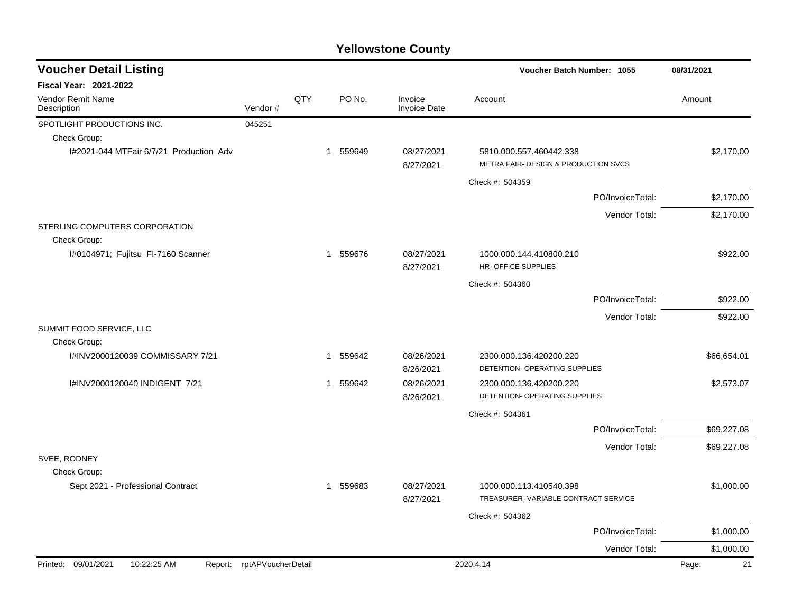| <b>Voucher Detail Listing</b>                  |                    |     |          |                                |                                                                 | Voucher Batch Number: 1055 |             |  |
|------------------------------------------------|--------------------|-----|----------|--------------------------------|-----------------------------------------------------------------|----------------------------|-------------|--|
| Fiscal Year: 2021-2022                         |                    |     |          |                                |                                                                 |                            |             |  |
| Vendor Remit Name<br>Description               | Vendor#            | QTY | PO No.   | Invoice<br><b>Invoice Date</b> | Account                                                         |                            | Amount      |  |
| SPOTLIGHT PRODUCTIONS INC.                     | 045251             |     |          |                                |                                                                 |                            |             |  |
| Check Group:                                   |                    |     |          |                                |                                                                 |                            |             |  |
| I#2021-044 MTFair 6/7/21 Production Adv        |                    |     | 1 559649 | 08/27/2021<br>8/27/2021        | 5810.000.557.460442.338<br>METRA FAIR- DESIGN & PRODUCTION SVCS |                            | \$2,170.00  |  |
|                                                |                    |     |          |                                | Check #: 504359                                                 |                            |             |  |
|                                                |                    |     |          |                                |                                                                 | PO/InvoiceTotal:           | \$2,170.00  |  |
|                                                |                    |     |          |                                |                                                                 | Vendor Total:              | \$2,170.00  |  |
| STERLING COMPUTERS CORPORATION<br>Check Group: |                    |     |          |                                |                                                                 |                            |             |  |
| I#0104971; Fujitsu FI-7160 Scanner             |                    |     | 1 559676 | 08/27/2021<br>8/27/2021        | 1000.000.144.410800.210<br>HR- OFFICE SUPPLIES                  |                            | \$922.00    |  |
|                                                |                    |     |          |                                | Check #: 504360                                                 |                            |             |  |
|                                                |                    |     |          |                                |                                                                 | PO/InvoiceTotal:           | \$922.00    |  |
|                                                |                    |     |          |                                |                                                                 | Vendor Total:              | \$922.00    |  |
| SUMMIT FOOD SERVICE, LLC<br>Check Group:       |                    |     |          |                                |                                                                 |                            |             |  |
| I#INV2000120039 COMMISSARY 7/21                |                    |     | 1 559642 | 08/26/2021<br>8/26/2021        | 2300.000.136.420200.220<br>DETENTION- OPERATING SUPPLIES        |                            | \$66,654.01 |  |
| I#INV2000120040 INDIGENT 7/21                  |                    |     | 1 559642 | 08/26/2021<br>8/26/2021        | 2300.000.136.420200.220<br>DETENTION- OPERATING SUPPLIES        |                            | \$2,573.07  |  |
|                                                |                    |     |          |                                | Check #: 504361                                                 |                            |             |  |
|                                                |                    |     |          |                                |                                                                 | PO/InvoiceTotal:           | \$69,227.08 |  |
|                                                |                    |     |          |                                |                                                                 | Vendor Total:              | \$69,227.08 |  |
| SVEE, RODNEY                                   |                    |     |          |                                |                                                                 |                            |             |  |
| Check Group:                                   |                    |     |          |                                |                                                                 |                            |             |  |
| Sept 2021 - Professional Contract              |                    |     | 1 559683 | 08/27/2021<br>8/27/2021        | 1000.000.113.410540.398<br>TREASURER-VARIABLE CONTRACT SERVICE  |                            | \$1,000.00  |  |
|                                                |                    |     |          |                                | Check #: 504362                                                 |                            |             |  |
|                                                |                    |     |          |                                |                                                                 | PO/InvoiceTotal:           | \$1,000.00  |  |
|                                                |                    |     |          |                                |                                                                 | Vendor Total:              | \$1,000.00  |  |
| 10:22:25 AM<br>Printed: 09/01/2021<br>Report:  | rptAPVoucherDetail |     |          |                                | 2020.4.14                                                       |                            | 21<br>Page: |  |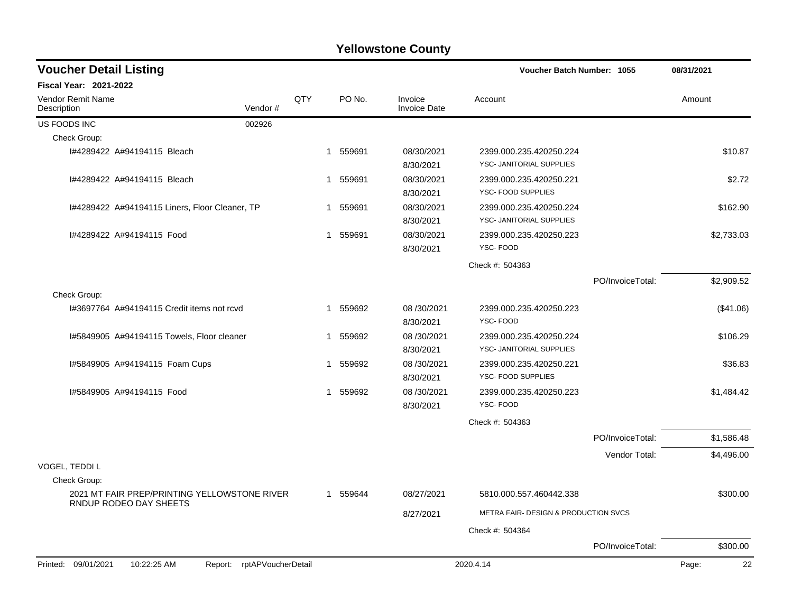| <b>Voucher Detail Listing</b>                                    |          |                                |                                                     | <b>Voucher Batch Number: 1055</b> |             |  |
|------------------------------------------------------------------|----------|--------------------------------|-----------------------------------------------------|-----------------------------------|-------------|--|
| Fiscal Year: 2021-2022                                           |          |                                |                                                     |                                   |             |  |
| QTY<br>Vendor Remit Name<br>Vendor#<br>Description               | PO No.   | Invoice<br><b>Invoice Date</b> | Account                                             |                                   | Amount      |  |
| US FOODS INC<br>002926                                           |          |                                |                                                     |                                   |             |  |
| Check Group:                                                     |          |                                |                                                     |                                   |             |  |
| I#4289422 A#94194115 Bleach                                      | 1 559691 | 08/30/2021<br>8/30/2021        | 2399.000.235.420250.224<br>YSC- JANITORIAL SUPPLIES |                                   | \$10.87     |  |
| I#4289422 A#94194115 Bleach                                      | 1 559691 | 08/30/2021<br>8/30/2021        | 2399.000.235.420250.221<br>YSC- FOOD SUPPLIES       |                                   | \$2.72      |  |
| 1#4289422 A#94194115 Liners, Floor Cleaner, TP                   | 1 559691 | 08/30/2021<br>8/30/2021        | 2399.000.235.420250.224<br>YSC- JANITORIAL SUPPLIES |                                   | \$162.90    |  |
| 1#4289422 A#94194115 Food                                        | 1 559691 | 08/30/2021<br>8/30/2021        | 2399.000.235.420250.223<br>YSC-FOOD                 |                                   | \$2,733.03  |  |
|                                                                  |          |                                | Check #: 504363                                     |                                   |             |  |
|                                                                  |          |                                |                                                     | PO/InvoiceTotal:                  | \$2,909.52  |  |
| Check Group:                                                     |          |                                |                                                     |                                   |             |  |
| 1#3697764 A#94194115 Credit items not rcyd                       | 1 559692 | 08/30/2021<br>8/30/2021        | 2399.000.235.420250.223<br>YSC-FOOD                 |                                   | (\$41.06)   |  |
| 1#5849905 A#94194115 Towels, Floor cleaner                       | 1 559692 | 08/30/2021<br>8/30/2021        | 2399.000.235.420250.224<br>YSC- JANITORIAL SUPPLIES |                                   | \$106.29    |  |
| I#5849905 A#94194115 Foam Cups                                   | 1 559692 | 08/30/2021<br>8/30/2021        | 2399.000.235.420250.221<br>YSC- FOOD SUPPLIES       |                                   | \$36.83     |  |
| 1#5849905 A#94194115 Food                                        | 1 559692 | 08/30/2021<br>8/30/2021        | 2399.000.235.420250.223<br>YSC-FOOD                 |                                   | \$1,484.42  |  |
|                                                                  |          |                                | Check #: 504363                                     |                                   |             |  |
|                                                                  |          |                                |                                                     | PO/InvoiceTotal:                  | \$1,586.48  |  |
|                                                                  |          |                                |                                                     | Vendor Total:                     | \$4,496.00  |  |
| VOGEL, TEDDI L<br>Check Group:                                   |          |                                |                                                     |                                   |             |  |
| 2021 MT FAIR PREP/PRINTING YELLOWSTONE RIVER                     | 1 559644 | 08/27/2021                     | 5810.000.557.460442.338                             |                                   | \$300.00    |  |
| RNDUP RODEO DAY SHEETS                                           |          | 8/27/2021                      | METRA FAIR- DESIGN & PRODUCTION SVCS                |                                   |             |  |
|                                                                  |          |                                | Check #: 504364                                     |                                   |             |  |
|                                                                  |          |                                |                                                     | PO/InvoiceTotal:                  | \$300.00    |  |
| Printed: 09/01/2021<br>10:22:25 AM<br>Report: rptAPVoucherDetail |          |                                | 2020.4.14                                           |                                   | 22<br>Page: |  |